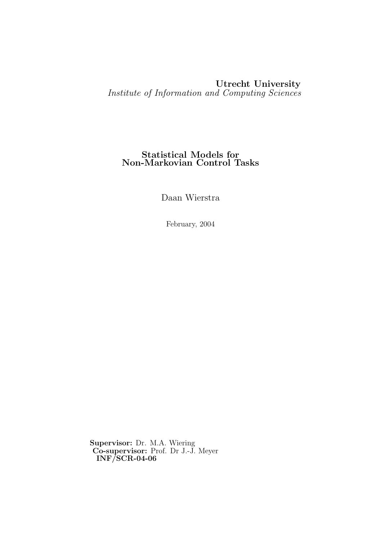### Utrecht University Institute of Information and Computing Sciences

#### Statistical Models for Non-Markovian Control Tasks

Daan Wierstra

February, 2004

Supervisor: Dr. M.A. Wiering Co-supervisor: Prof. Dr J.-J. Meyer INF/SCR-04-06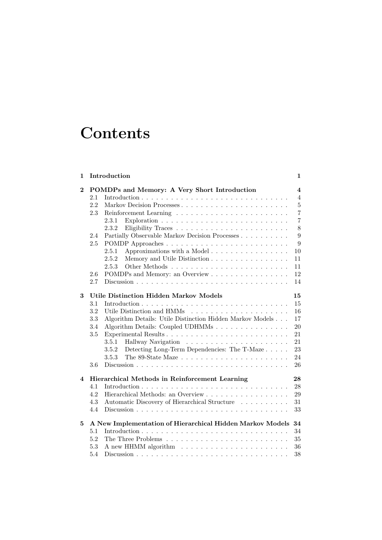# **Contents**

| 1                       |                                                      | Introduction                                                                         | 1                       |  |  |  |  |  |
|-------------------------|------------------------------------------------------|--------------------------------------------------------------------------------------|-------------------------|--|--|--|--|--|
| $\bf{2}$                |                                                      | POMDPs and Memory: A Very Short Introduction                                         | $\overline{\mathbf{4}}$ |  |  |  |  |  |
|                         | 2.1                                                  |                                                                                      | $\overline{4}$          |  |  |  |  |  |
|                         | 2.2                                                  | Markov Decision Processes                                                            | $\bf 5$                 |  |  |  |  |  |
|                         | 2.3                                                  |                                                                                      | $\overline{7}$          |  |  |  |  |  |
|                         |                                                      | 2.3.1                                                                                | $\overline{7}$          |  |  |  |  |  |
|                         |                                                      | 2.3.2                                                                                | 8                       |  |  |  |  |  |
|                         | 2.4                                                  | Partially Observable Markov Decision Processes                                       | 9                       |  |  |  |  |  |
|                         | 2.5                                                  |                                                                                      | 9                       |  |  |  |  |  |
|                         |                                                      | Approximations with a Model<br>2.5.1                                                 | 10                      |  |  |  |  |  |
|                         |                                                      | 2.5.2<br>Memory and Utile Distinction                                                | 11                      |  |  |  |  |  |
|                         |                                                      | 2.5.3                                                                                | 11                      |  |  |  |  |  |
|                         | 2.6                                                  | POMDPs and Memory: an Overview                                                       | 12                      |  |  |  |  |  |
|                         | 2.7                                                  |                                                                                      | 14                      |  |  |  |  |  |
| 3                       |                                                      | <b>Utile Distinction Hidden Markov Models</b>                                        | 15                      |  |  |  |  |  |
|                         | 3.1                                                  |                                                                                      | 15                      |  |  |  |  |  |
|                         | 3.2                                                  |                                                                                      | 16                      |  |  |  |  |  |
|                         | 3.3                                                  | Algorithm Details: Utile Distinction Hidden Markov Models                            | 17                      |  |  |  |  |  |
|                         | 3.4                                                  | Algorithm Details: Coupled UDHMMs                                                    | 20                      |  |  |  |  |  |
|                         | 3.5                                                  |                                                                                      | 21                      |  |  |  |  |  |
|                         |                                                      | 3.5.1                                                                                | 21                      |  |  |  |  |  |
|                         |                                                      | Detecting Long-Term Dependencies: The T-Maze<br>3.5.2                                | 23                      |  |  |  |  |  |
|                         |                                                      | The 89-State Maze $\ldots \ldots \ldots \ldots \ldots \ldots \ldots \ldots$<br>3.5.3 | 24                      |  |  |  |  |  |
|                         | 3.6                                                  |                                                                                      | 26                      |  |  |  |  |  |
| $\overline{\mathbf{4}}$ | Hierarchical Methods in Reinforcement Learning<br>28 |                                                                                      |                         |  |  |  |  |  |
|                         | 4.1                                                  |                                                                                      | 28                      |  |  |  |  |  |
|                         | 4.2                                                  |                                                                                      | 29                      |  |  |  |  |  |
|                         | 4.3                                                  | Automatic Discovery of Hierarchical Structure                                        | 31                      |  |  |  |  |  |
|                         | 4.4                                                  |                                                                                      | 33                      |  |  |  |  |  |
| 5                       |                                                      | A New Implementation of Hierarchical Hidden Markov Models                            | 34                      |  |  |  |  |  |
|                         | 5.1                                                  |                                                                                      | 34                      |  |  |  |  |  |
|                         | 5.2                                                  |                                                                                      | 35                      |  |  |  |  |  |
|                         | 5.3                                                  |                                                                                      | 36                      |  |  |  |  |  |
|                         | 5.4                                                  |                                                                                      | 38                      |  |  |  |  |  |
|                         |                                                      |                                                                                      |                         |  |  |  |  |  |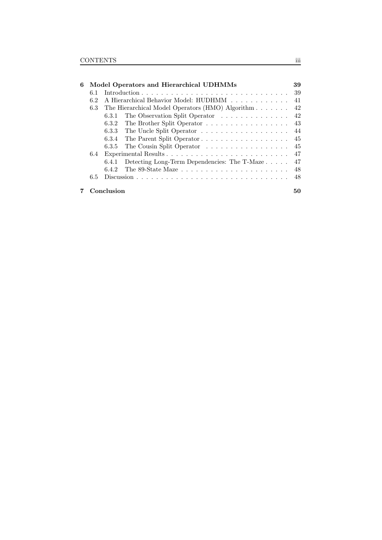| 6 | Model Operators and Hierarchical UDHMMs |                                                       |    |  |  |  |  |
|---|-----------------------------------------|-------------------------------------------------------|----|--|--|--|--|
|   | 6.1                                     |                                                       | 39 |  |  |  |  |
|   | 6.2                                     | A Hierarchical Behavior Model: HUDHMM                 | 41 |  |  |  |  |
|   | 6.3                                     | The Hierarchical Model Operators (HMO) Algorithm      |    |  |  |  |  |
|   |                                         | The Observation Split Operator<br>6.3.1               | 42 |  |  |  |  |
|   |                                         | 6.3.2 The Brother Split Operator                      | 43 |  |  |  |  |
|   |                                         |                                                       | 44 |  |  |  |  |
|   |                                         | The Parent Split Operator<br>6.3.4                    | 45 |  |  |  |  |
|   |                                         | The Cousin Split Operator<br>6.3.5                    | 45 |  |  |  |  |
|   | 6.4                                     |                                                       | 47 |  |  |  |  |
|   |                                         | Detecting Long-Term Dependencies: The T-Maze<br>6.4.1 | 47 |  |  |  |  |
|   |                                         | 6.4.2                                                 | 48 |  |  |  |  |
|   | 6.5                                     |                                                       | 48 |  |  |  |  |
|   |                                         | Conclusion                                            | 50 |  |  |  |  |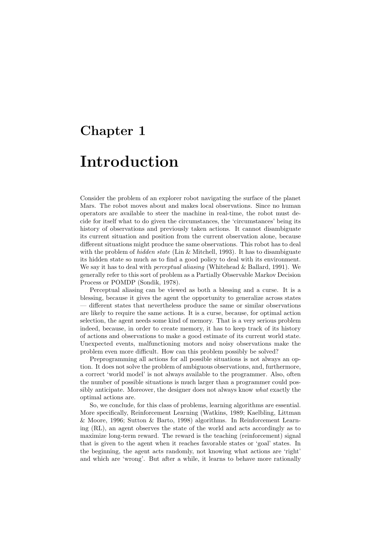## Chapter 1

## Introduction

Consider the problem of an explorer robot navigating the surface of the planet Mars. The robot moves about and makes local observations. Since no human operators are available to steer the machine in real-time, the robot must decide for itself what to do given the circumstances, the 'circumstances' being its history of observations and previously taken actions. It cannot disambiguate its current situation and position from the current observation alone, because different situations might produce the same observations. This robot has to deal with the problem of *hidden state* (Lin & Mitchell, 1993). It has to disambiguate its hidden state so much as to find a good policy to deal with its environment. We say it has to deal with *perceptual aliasing* (Whitehead  $\&$  Ballard, 1991). We generally refer to this sort of problem as a Partially Observable Markov Decision Process or POMDP (Sondik, 1978).

Perceptual aliasing can be viewed as both a blessing and a curse. It is a blessing, because it gives the agent the opportunity to generalize across states — different states that nevertheless produce the same or similar observations are likely to require the same actions. It is a curse, because, for optimal action selection, the agent needs some kind of memory. That is a very serious problem indeed, because, in order to create memory, it has to keep track of its history of actions and observations to make a good estimate of its current world state. Unexpected events, malfunctioning motors and noisy observations make the problem even more difficult. How can this problem possibly be solved?

Preprogramming all actions for all possible situations is not always an option. It does not solve the problem of ambiguous observations, and, furthermore, a correct 'world model' is not always available to the programmer. Also, often the number of possible situations is much larger than a programmer could possibly anticipate. Moreover, the designer does not always know what exactly the optimal actions are.

So, we conclude, for this class of problems, learning algorithms are essential. More specifically, Reinforcement Learning (Watkins, 1989; Kaelbling, Littman & Moore, 1996; Sutton & Barto, 1998) algorithms. In Reinforcement Learning (RL), an agent observes the state of the world and acts accordingly as to maximize long-term reward. The reward is the teaching (reinforcement) signal that is given to the agent when it reaches favorable states or 'goal' states. In the beginning, the agent acts randomly, not knowing what actions are 'right' and which are 'wrong'. But after a while, it learns to behave more rationally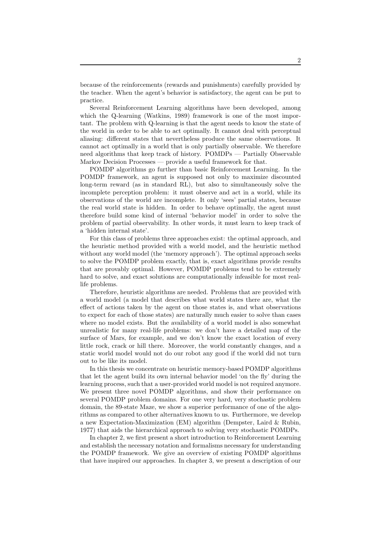because of the reinforcements (rewards and punishments) carefully provided by the teacher. When the agent's behavior is satisfactory, the agent can be put to practice.

Several Reinforcement Learning algorithms have been developed, among which the Q-learning (Watkins, 1989) framework is one of the most important. The problem with Q-learning is that the agent needs to know the state of the world in order to be able to act optimally. It cannot deal with perceptual aliasing: different states that nevertheless produce the same observations. It cannot act optimally in a world that is only partially observable. We therefore need algorithms that keep track of history. POMDPs — Partially Observable Markov Decision Processes — provide a useful framework for that.

POMDP algorithms go further than basic Reinforcement Learning. In the POMDP framework, an agent is supposed not only to maximize discounted long-term reward (as in standard RL), but also to simultaneously solve the incomplete perception problem: it must observe and act in a world, while its observations of the world are incomplete. It only 'sees' partial states, because the real world state is hidden. In order to behave optimally, the agent must therefore build some kind of internal 'behavior model' in order to solve the problem of partial observability. In other words, it must learn to keep track of a 'hidden internal state'.

For this class of problems three approaches exist: the optimal approach, and the heuristic method provided with a world model, and the heuristic method without any world model (the 'memory approach'). The optimal approach seeks to solve the POMDP problem exactly, that is, exact algorithms provide results that are provably optimal. However, POMDP problems tend to be extremely hard to solve, and exact solutions are computationally infeasible for most reallife problems.

Therefore, heuristic algorithms are needed. Problems that are provided with a world model (a model that describes what world states there are, what the effect of actions taken by the agent on those states is, and what observations to expect for each of those states) are naturally much easier to solve than cases where no model exists. But the availability of a world model is also somewhat unrealistic for many real-life problems: we don't have a detailed map of the surface of Mars, for example, and we don't know the exact location of every little rock, crack or hill there. Moreover, the world constantly changes, and a static world model would not do our robot any good if the world did not turn out to be like its model.

In this thesis we concentrate on heuristic memory-based POMDP algorithms that let the agent build its own internal behavior model 'on the fly' during the learning process, such that a user-provided world model is not required anymore. We present three novel POMDP algorithms, and show their performance on several POMDP problem domains. For one very hard, very stochastic problem domain, the 89-state Maze, we show a superior performance of one of the algorithms as compared to other alternatives known to us. Furthermore, we develop a new Expectation-Maximization (EM) algorithm (Dempster, Laird & Rubin, 1977) that aids the hierarchical approach to solving very stochastic POMDPs.

In chapter 2, we first present a short introduction to Reinforcement Learning and establish the necessary notation and formalisms necessary for understanding the POMDP framework. We give an overview of existing POMDP algorithms that have inspired our approaches. In chapter 3, we present a description of our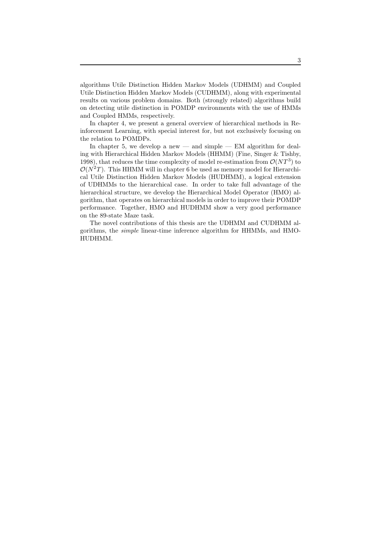algorithms Utile Distinction Hidden Markov Models (UDHMM) and Coupled Utile Distinction Hidden Markov Models (CUDHMM), along with experimental results on various problem domains. Both (strongly related) algorithms build on detecting utile distinction in POMDP environments with the use of HMMs and Coupled HMMs, respectively.

In chapter 4, we present a general overview of hierarchical methods in Reinforcement Learning, with special interest for, but not exclusively focusing on the relation to POMDPs.

In chapter 5, we develop a new — and simple — EM algorithm for dealing with Hierarchical Hidden Markov Models (HHMM) (Fine, Singer & Tishby, 1998), that reduces the time complexity of model re-estimation from  $\mathcal{O}(NT^3)$  to  $\mathcal{O}(N^2T)$ . This HHMM will in chapter 6 be used as memory model for Hierarchical Utile Distinction Hidden Markov Models (HUDHMM), a logical extension of UDHMMs to the hierarchical case. In order to take full advantage of the hierarchical structure, we develop the Hierarchical Model Operator (HMO) algorithm, that operates on hierarchical models in order to improve their POMDP performance. Together, HMO and HUDHMM show a very good performance on the 89-state Maze task.

The novel contributions of this thesis are the UDHMM and CUDHMM algorithms, the simple linear-time inference algorithm for HHMMs, and HMO-HUDHMM.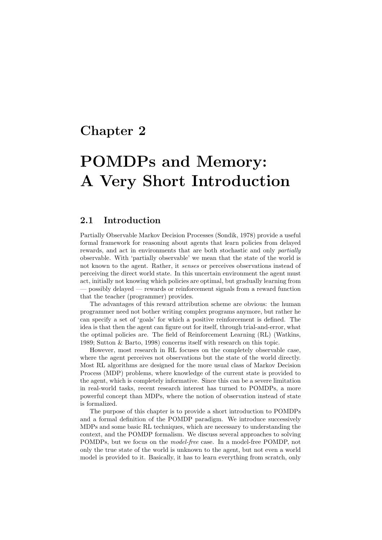## Chapter 2

# POMDPs and Memory: A Very Short Introduction

#### 2.1 Introduction

Partially Observable Markov Decision Processes (Sondik, 1978) provide a useful formal framework for reasoning about agents that learn policies from delayed rewards, and act in environments that are both stochastic and only partially observable. With 'partially observable' we mean that the state of the world is not known to the agent. Rather, it senses or perceives observations instead of perceiving the direct world state. In this uncertain environment the agent must act, initially not knowing which policies are optimal, but gradually learning from — possibly delayed — rewards or reinforcement signals from a reward function that the teacher (programmer) provides.

The advantages of this reward attribution scheme are obvious: the human programmer need not bother writing complex programs anymore, but rather he can specify a set of 'goals' for which a positive reinforcement is defined. The idea is that then the agent can figure out for itself, through trial-and-error, what the optimal policies are. The field of Reinforcement Learning (RL) (Watkins, 1989; Sutton & Barto, 1998) concerns itself with research on this topic.

However, most research in RL focuses on the completely observable case, where the agent perceives not observations but the state of the world directly. Most RL algorithms are designed for the more usual class of Markov Decision Process (MDP) problems, where knowledge of the current state is provided to the agent, which is completely informative. Since this can be a severe limitation in real-world tasks, recent research interest has turned to POMDPs, a more powerful concept than MDPs, where the notion of observation instead of state is formalized.

The purpose of this chapter is to provide a short introduction to POMDPs and a formal definition of the POMDP paradigm. We introduce successively MDPs and some basic RL techniques, which are necessary to understanding the context, and the POMDP formalism. We discuss several approaches to solving POMDPs, but we focus on the model-free case. In a model-free POMDP, not only the true state of the world is unknown to the agent, but not even a world model is provided to it. Basically, it has to learn everything from scratch, only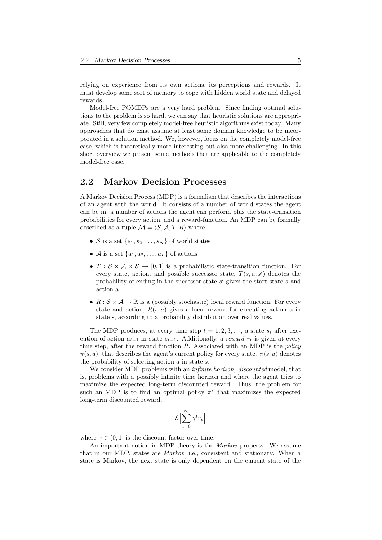relying on experience from its own actions, its perceptions and rewards. It must develop some sort of memory to cope with hidden world state and delayed rewards.

Model-free POMDPs are a very hard problem. Since finding optimal solutions to the problem is so hard, we can say that heuristic solutions are appropriate. Still, very few completely model-free heuristic algorithms exist today. Many approaches that do exist assume at least some domain knowledge to be incorporated in a solution method. We, however, focus on the completely model-free case, which is theoretically more interesting but also more challenging. In this short overview we present some methods that are applicable to the completely model-free case.

#### 2.2 Markov Decision Processes

A Markov Decision Process (MDP) is a formalism that describes the interactions of an agent with the world. It consists of a number of world states the agent can be in, a number of actions the agent can perform plus the state-transition probabilities for every action, and a reward-function. An MDP can be formally described as a tuple  $\mathcal{M} = \langle \mathcal{S}, \mathcal{A}, T, R \rangle$  where

- S is a set  $\{s_1, s_2, \ldots, s_N\}$  of world states
- A is a set  $\{a_1, a_2, \ldots, a_L\}$  of actions
- $T : \mathcal{S} \times \mathcal{A} \times \mathcal{S} \rightarrow [0,1]$  is a probabilistic state-transition function. For every state, action, and possible successor state,  $T(s, a, s')$  denotes the probability of ending in the successor state  $s'$  given the start state  $s$  and action a.
- $R : \mathcal{S} \times \mathcal{A} \to \mathbb{R}$  is a (possibly stochastic) local reward function. For every state and action,  $R(s, a)$  gives a local reward for executing action a in state s, according to a probability distribution over real values.

The MDP produces, at every time step  $t = 1, 2, 3, \ldots$ , a state  $s_t$  after execution of action  $a_{t-1}$  in state  $s_{t-1}$ . Additionally, a *reward*  $r_t$  is given at every time step, after the reward function  $R$ . Associated with an MDP is the *policy*  $\pi(s, a)$ , that describes the agent's current policy for every state.  $\pi(s, a)$  denotes the probability of selecting action  $a$  in state  $s$ .

We consider MDP problems with an *infinite horizon*, *discounted* model, that is, problems with a possibly infinite time horizon and where the agent tries to maximize the expected long-term discounted reward. Thus, the problem for such an MDP is to find an optimal policy  $\pi^*$  that maximizes the expected long-term discounted reward,

$$
\mathcal{E}\Bigl[\sum_{t=0}^\infty\gamma^tr_t\Bigr]
$$

where  $\gamma \in (0, 1]$  is the discount factor over time.

An important notion in MDP theory is the Markov property. We assume that in our MDP, states are Markov, i.e., consistent and stationary. When a state is Markov, the next state is only dependent on the current state of the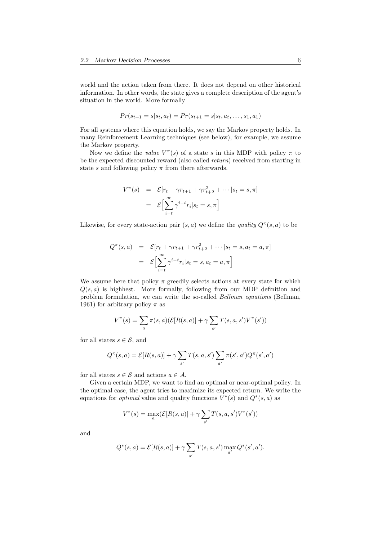world and the action taken from there. It does not depend on other historical information. In other words, the state gives a complete description of the agent's situation in the world. More formally

$$
Pr(s_{t+1} = s | s_t, a_t) = Pr(s_{t+1} = s | s_t, a_t, \dots, s_1, a_1)
$$

For all systems where this equation holds, we say the Markov property holds. In many Reinforcement Learning techniques (see below), for example, we assume the Markov property.

Now we define the *value*  $V^{\pi}(s)$  of a state s in this MDP with policy  $\pi$  to be the expected discounted reward (also called return) received from starting in state s and following policy  $\pi$  from there afterwards.

$$
V^{\pi}(s) = \mathcal{E}[r_t + \gamma r_{t+1} + \gamma r_{t+2}^2 + \cdots | s_t = s, \pi]
$$

$$
= \mathcal{E}\Big[\sum_{i=t}^{\infty} \gamma^{i-t} r_i | s_t = s, \pi\Big]
$$

Likewise, for every state-action pair  $(s, a)$  we define the *quality*  $Q^{\pi}(s, a)$  to be

$$
Q^{\pi}(s, a) = \mathcal{E}[r_t + \gamma r_{t+1} + \gamma r_{t+2}^2 + \cdots | s_t = s, a_t = a, \pi]
$$

$$
= \mathcal{E}\Big[\sum_{i=t}^{\infty} \gamma^{i-t} r_i | s_t = s, a_t = a, \pi\Big]
$$

We assume here that policy  $\pi$  greedily selects actions at every state for which  $Q(s, a)$  is highhest. More formally, following from our MDP definition and problem formulation, we can write the so-called Bellman equations (Bellman, 1961) for arbitrary policy  $\pi$  as

$$
V^{\pi}(s) = \sum_{a} \pi(s, a)(\mathcal{E}[R(s, a)] + \gamma \sum_{s'} T(s, a, s')V^{\pi}(s'))
$$

for all states  $s \in \mathcal{S}$ , and

$$
Q^{\pi}(s, a) = \mathcal{E}[R(s, a)] + \gamma \sum_{s'} T(s, a, s') \sum_{a'} \pi(s', a') Q^{\pi}(s', a')
$$

for all states  $s \in \mathcal{S}$  and actions  $a \in \mathcal{A}$ .

Given a certain MDP, we want to find an optimal or near-optimal policy. In the optimal case, the agent tries to maximize its expected return. We write the equations for *optimal* value and quality functions  $V^*(s)$  and  $Q^*(s, a)$  as

$$
V^*(s) = \max_{a} (\mathcal{E}[R(s, a)] + \gamma \sum_{s'} T(s, a, s') V^*(s'))
$$

and

$$
Q^*(s, a) = \mathcal{E}[R(s, a)] + \gamma \sum_{s'} T(s, a, s') \max_{a'} Q^*(s', a').
$$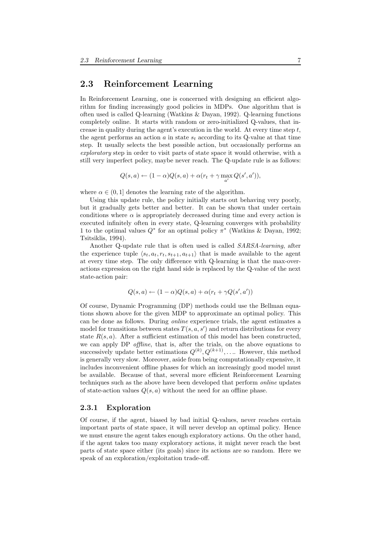#### 2.3 Reinforcement Learning

In Reinforcement Learning, one is concerned with designing an efficient algorithm for finding increasingly good policies in MDPs. One algorithm that is often used is called Q-learning (Watkins & Dayan, 1992). Q-learning functions completely online. It starts with random or zero-initialized Q-values, that increase in quality during the agent's execution in the world. At every time step  $t$ , the agent performs an action a in state  $s_t$  according to its Q-value at that time step. It usually selects the best possible action, but occasionally performs an exploratory step in order to visit parts of state space it would otherwise, with a still very imperfect policy, maybe never reach. The Q-update rule is as follows:

 $Q(s, a) \leftarrow (1 - \alpha)Q(s, a) + \alpha(r_t + \gamma \max_{a'} Q(s', a')),$ 

where  $\alpha \in (0, 1]$  denotes the learning rate of the algorithm.

Using this update rule, the policy initially starts out behaving very poorly, but it gradually gets better and better. It can be shown that under certain conditions where  $\alpha$  is appropriately decreased during time and every action is executed infinitely often in every state, Q-learning converges with probability 1 to the optimal values  $Q^*$  for an optimal policy  $\pi^*$  (Watkins & Dayan, 1992; Tsitsiklis, 1994).

Another Q-update rule that is often used is called SARSA-learning, after the experience tuple  $\langle s_t, a_t, r_t, s_{t+1}, a_{t+1} \rangle$  that is made available to the agent at every time step. The only difference with Q-learning is that the max-overactions expression on the right hand side is replaced by the Q-value of the next state-action pair:

$$
Q(s, a) \leftarrow (1 - \alpha)Q(s, a) + \alpha(r_t + \gamma Q(s', a'))
$$

Of course, Dynamic Programming (DP) methods could use the Bellman equations shown above for the given MDP to approximate an optimal policy. This can be done as follows. During online experience trials, the agent estimates a model for transitions between states  $T(s, a, s')$  and return distributions for every state  $R(s, a)$ . After a sufficient estimation of this model has been constructed, we can apply DP *offline*, that is, after the trials, on the above equations to successively update better estimations  $Q^{(k)}, Q^{(k+1)}, \ldots$  However, this method is generally very slow. Moreover, aside from being computationally expensive, it includes inconvenient offline phases for which an increasingly good model must be available. Because of that, several more efficient Reinforcement Learning techniques such as the above have been developed that perform online updates of state-action values  $Q(s, a)$  without the need for an offline phase.

#### 2.3.1 Exploration

Of course, if the agent, biased by bad initial Q-values, never reaches certain important parts of state space, it will never develop an optimal policy. Hence we must ensure the agent takes enough exploratory actions. On the other hand, if the agent takes too many exploratory actions, it might never reach the best parts of state space either (its goals) since its actions are so random. Here we speak of an exploration/exploitation trade-off.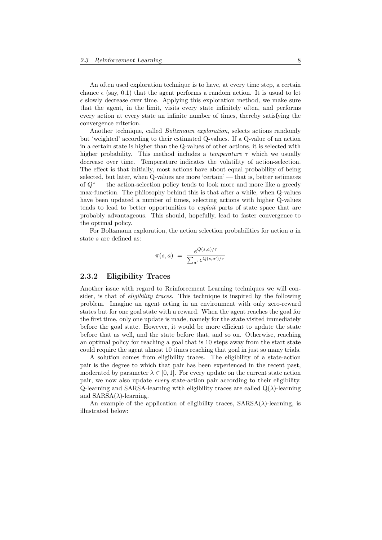An often used exploration technique is to have, at every time step, a certain chance  $\epsilon$  (say, 0.1) that the agent performs a random action. It is usual to let  $\epsilon$  slowly decrease over time. Applying this exploration method, we make sure that the agent, in the limit, visits every state infinitely often, and performs every action at every state an infinite number of times, thereby satisfying the convergence criterion.

Another technique, called Boltzmann exploration, selects actions randomly but 'weighted' according to their estimated Q-values. If a Q-value of an action in a certain state is higher than the Q-values of other actions, it is selected with higher probability. This method includes a *temperature*  $\tau$  which we usually decrease over time. Temperature indicates the volatility of action-selection. The effect is that initially, most actions have about equal probability of being selected, but later, when Q-values are more 'certain' — that is, better estimates of  $Q^*$  — the action-selection policy tends to look more and more like a greedy max-function. The philosophy behind this is that after a while, when Q-values have been updated a number of times, selecting actions with higher Q-values tends to lead to better opportunities to *exploit* parts of state space that are probably advantageous. This should, hopefully, lead to faster convergence to the optimal policy.

For Boltzmann exploration, the action selection probabilities for action a in state s are defined as:

$$
\pi(s,a) = \frac{e^{Q(s,a)/\tau}}{\sum_{a'} e^{Q(s,a')/\tau}}
$$

#### 2.3.2 Eligibility Traces

Another issue with regard to Reinforcement Learning techniques we will consider, is that of *eligibility traces*. This technique is inspired by the following problem. Imagine an agent acting in an environment with only zero-reward states but for one goal state with a reward. When the agent reaches the goal for the first time, only one update is made, namely for the state visited immediately before the goal state. However, it would be more efficient to update the state before that as well, and the state before that, and so on. Otherwise, reaching an optimal policy for reaching a goal that is 10 steps away from the start state could require the agent almost 10 times reaching that goal in just so many trials.

A solution comes from eligibility traces. The eligibility of a state-action pair is the degree to which that pair has been experienced in the recent past, moderated by parameter  $\lambda \in [0, 1]$ . For every update on the current state action pair, we now also update every state-action pair according to their eligibility. Q-learning and SARSA-learning with eligibility traces are called  $Q(\lambda)$ -learning and  $SARSA(\lambda)$ -learning.

An example of the application of eligibility traces,  $SARSA(\lambda)$ -learning, is illustrated below: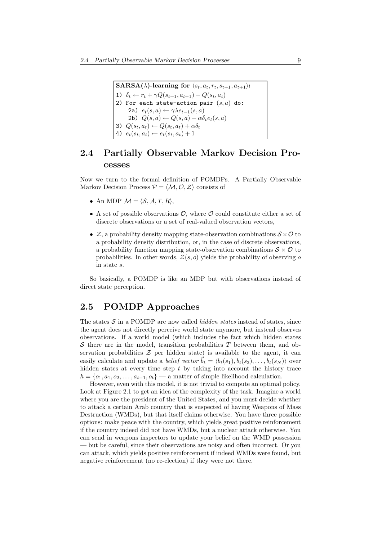$\text{SARSA}(\lambda)$ -learning for  $\langle s_t, a_t, r_t, s_{t+1}, a_{t+1}\rangle$ : 1)  $\delta_t \leftarrow r_t + \gamma Q(s_{t+1}, a_{t+1}) - Q(s_t, a_t)$ 2) For each state-action pair  $(s, a)$  do: 2a)  $e_t(s, a) \leftarrow \gamma \lambda e_{t-1}(s, a)$ 2b)  $Q(s, a) \leftarrow Q(s, a) + \alpha \delta_t e_t(s, a)$ 3)  $Q(s_t, a_t) \leftarrow Q(s_t, a_t) + \alpha \delta_t$ 4)  $e_t(s_t, a_t) \leftarrow e_t(s_t, a_t) + 1$ 

### 2.4 Partially Observable Markov Decision Processes

Now we turn to the formal definition of POMDPs. A Partially Observable Markov Decision Process  $P = \langle M, \mathcal{O}, \mathcal{Z} \rangle$  consists of

- An MDP  $\mathcal{M} = \langle \mathcal{S}, \mathcal{A}, T, R \rangle$ ,
- A set of possible observations  $\mathcal{O}$ , where  $\mathcal O$  could constitute either a set of discrete observations or a set of real-valued observation vectors,
- $\mathcal{Z}$ , a probability density mapping state-observation combinations  $\mathcal{S} \times \mathcal{O}$  to a probability density distribution, or, in the case of discrete observations, a probability function mapping state-observation combinations  $S \times \mathcal{O}$  to probabilities. In other words,  $\mathcal{Z}(s, o)$  yields the probability of observing o in state s.

So basically, a POMDP is like an MDP but with observations instead of direct state perception.

### 2.5 POMDP Approaches

The states  $S$  in a POMDP are now called *hidden states* instead of states, since the agent does not directly perceive world state anymore, but instead observes observations. If a world model (which includes the fact which hidden states S there are in the model, transition probabilities  $T$  between them, and observation probabilities  $\mathcal Z$  per hidden state) is available to the agent, it can easily calculate and update a *belief vector*  $\vec{b}_t = \langle b_t(s_1), b_t(s_2), \ldots, b_t(s_N) \rangle$  over hidden states at every time step  $t$  by taking into account the history trace  $h = \{o_1, a_1, o_2, \ldots, a_{t-1}, o_t\}$  — a matter of simple likelihood calculation.

However, even with this model, it is not trivial to compute an optimal policy. Look at Figure 2.1 to get an idea of the complexity of the task. Imagine a world where you are the president of the United States, and you must decide whether to attack a certain Arab country that is suspected of having Weapons of Mass Destruction (WMDs), but that itself claims otherwise. You have three possible options: make peace with the country, which yields great positive reinforcement if the country indeed did not have WMDs, but a nuclear attack otherwise. You can send in weapons inspectors to update your belief on the WMD possession — but be careful, since their observations are noisy and often incorrect. Or you can attack, which yields positive reinforcement if indeed WMDs were found, but negative reinforcement (no re-election) if they were not there.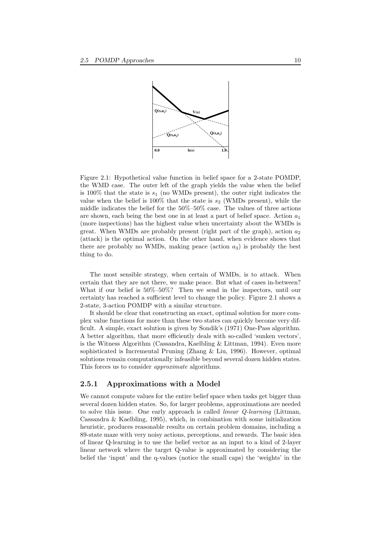

Figure 2.1: Hypothetical value function in belief space for a 2-state POMDP, the WMD case. The outer left of the graph yields the value when the belief is 100% that the state is  $s_1$  (no WMDs present), the outer right indicates the value when the belief is 100% that the state is  $s_2$  (WMDs present), while the middle indicates the belief for the 50%–50% case. The values of three actions are shown, each being the best one in at least a part of belief space. Action  $a_1$ (more inspections) has the highest value when uncertainty about the WMDs is great. When WMDs are probably present (right part of the graph), action  $a_2$ (attack) is the optimal action. On the other hand, when evidence shows that there are probably no WMDs, making peace (action  $a_3$ ) is probably the best thing to do.

The most sensible strategy, when certain of WMDs, is to attack. When certain that they are not there, we make peace. But what of cases in-between? What if our belief is 50%–50%? Then we send in the inspectors, until our certainty has reached a sufficient level to change the policy. Figure 2.1 shows a 2-state, 3-action POMDP with a similar structure.

It should be clear that constructing an exact, optimal solution for more complex value functions for more than these two states can quickly become very difficult. A simple, exact solution is given by Sondik's (1971) One-Pass algorithm. A better algorithm, that more efficiently deals with so-called 'sunken vectors', is the Witness Algorithm (Cassandra, Kaelbling & Littman, 1994). Even more sophisticated is Incremental Pruning (Zhang & Liu, 1996). However, optimal solutions remain computationally infeasible beyond several dozen hidden states. This forces us to consider approximate algorithms.

#### 2.5.1 Approximations with a Model

We cannot compute values for the entire belief space when tasks get bigger than several dozen hidden states. So, for larger problems, approximations are needed to solve this issue. One early approach is called linear Q-learning (Littman, Cassandra & Kaelbling, 1995), which, in combination with some initialization heuristic, produces reasonable results on certain problem domains, including a 89-state maze with very noisy actions, perceptions, and rewards. The basic idea of linear Q-learning is to use the belief vector as an input to a kind of 2-layer linear network where the target Q-value is approximated by considering the belief the 'input' and the q-values (notice the small caps) the 'weights' in the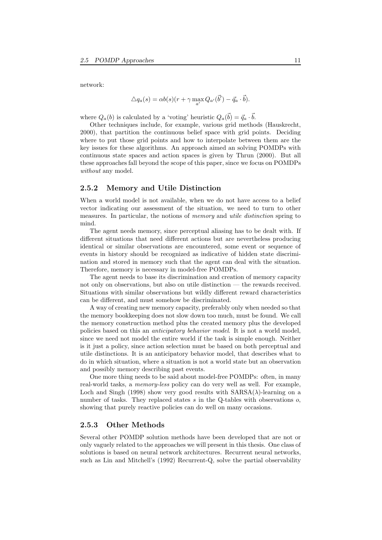network:

$$
\Delta q_a(s) = \alpha b(s)(r + \gamma \max_{a'} Q_{a'}(\vec{b}') - \vec{q}_a \cdot \vec{b}).
$$

where  $Q_a(b)$  is calculated by a 'voting' heuristic  $Q_a(\vec{b}) = \vec{q}_a \cdot \vec{b}$ .

Other techniques include, for example, various grid methods (Hauskrecht, 2000), that partition the continuous belief space with grid points. Deciding where to put those grid points and how to interpolate between them are the key issues for these algorithms. An approach aimed an solving POMDPs with continuous state spaces and action spaces is given by Thrun (2000). But all these approaches fall beyond the scope of this paper, since we focus on POMDPs without any model.

#### 2.5.2 Memory and Utile Distinction

When a world model is not available, when we do not have access to a belief vector indicating our assessment of the situation, we need to turn to other measures. In particular, the notions of memory and utile distinction spring to mind.

The agent needs memory, since perceptual aliasing has to be dealt with. If different situations that need different actions but are nevertheless producing identical or similar observations are encountered, some event or sequence of events in history should be recognized as indicative of hidden state discrimination and stored in memory such that the agent can deal with the situation. Therefore, memory is necessary in model-free POMDPs.

The agent needs to base its discrimination and creation of memory capacity not only on observations, but also on utile distinction — the rewards received. Situations with similar observations but wildly different reward characteristics can be different, and must somehow be discriminated.

A way of creating new memory capacity, preferably only when needed so that the memory bookkeeping does not slow down too much, must be found. We call the memory construction method plus the created memory plus the developed policies based on this an anticipatory behavior model. It is not a world model, since we need not model the entire world if the task is simple enough. Neither is it just a policy, since action selection must be based on both perceptual and utile distinctions. It is an anticipatory behavior model, that describes what to do in which situation, where a situation is not a world state but an observation and possibly memory describing past events.

One more thing needs to be said about model-free POMDPs: often, in many real-world tasks, a memory-less policy can do very well as well. For example, Loch and Singh (1998) show very good results with  $SARSA(\lambda)$ -learning on a number of tasks. They replaced states  $s$  in the Q-tables with observations  $o$ , showing that purely reactive policies can do well on many occasions.

#### 2.5.3 Other Methods

Several other POMDP solution methods have been developed that are not or only vaguely related to the approaches we will present in this thesis. One class of solutions is based on neural network architectures. Recurrent neural networks, such as Lin and Mitchell's (1992) Recurrent-Q, solve the partial observability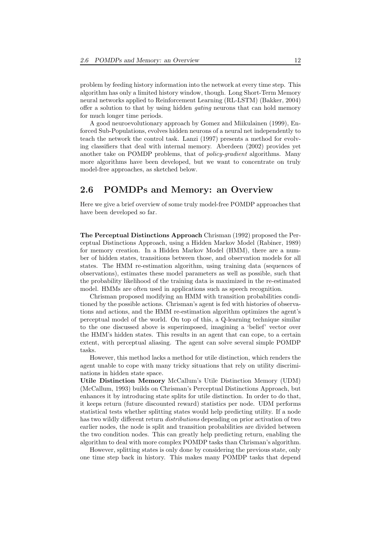problem by feeding history information into the network at every time step. This algorithm has only a limited history window, though. Long Short-Term Memory neural networks applied to Reinforcement Learning (RL-LSTM) (Bakker, 2004) offer a solution to that by using hidden gating neurons that can hold memory for much longer time periods.

A good neuroevolutionary approach by Gomez and Miikulainen (1999), Enforced Sub-Populations, evolves hidden neurons of a neural net independently to teach the network the control task. Lanzi (1997) presents a method for evolving classifiers that deal with internal memory. Aberdeen (2002) provides yet another take on POMDP problems, that of *policy-gradient* algorithms. Many more algorithms have been developed, but we want to concentrate on truly model-free approaches, as sketched below.

#### 2.6 POMDPs and Memory: an Overview

Here we give a brief overview of some truly model-free POMDP approaches that have been developed so far.

The Perceptual Distinctions Approach Chrisman (1992) proposed the Perceptual Distinctions Approach, using a Hidden Markov Model (Rabiner, 1989) for memory creation. In a Hidden Markov Model (HMM), there are a number of hidden states, transitions between those, and observation models for all states. The HMM re-estimation algorithm, using training data (sequences of observations), estimates these model parameters as well as possible, such that the probability likelihood of the training data is maximized in the re-estimated model. HMMs are often used in applications such as speech recognition.

Chrisman proposed modifying an HMM with transition probabilities conditioned by the possible actions. Chrisman's agent is fed with histories of observations and actions, and the HMM re-estimation algorithm optimizes the agent's perceptual model of the world. On top of this, a Q-learning technique similar to the one discussed above is superimposed, imagining a 'belief' vector over the HMM's hidden states. This results in an agent that can cope, to a certain extent, with perceptual aliasing. The agent can solve several simple POMDP tasks.

However, this method lacks a method for utile distinction, which renders the agent unable to cope with many tricky situations that rely on utility discriminations in hidden state space.

Utile Distinction Memory McCallum's Utile Distinction Memory (UDM) (McCallum, 1993) builds on Chrisman's Perceptual Distinctions Approach, but enhances it by introducing state splits for utile distinction. In order to do that, it keeps return (future discounted reward) statistics per node. UDM performs statistical tests whether splitting states would help predicting utility. If a node has two wildly different return distributions depending on prior activation of two earlier nodes, the node is split and transition probabilities are divided between the two condition nodes. This can greatly help predicting return, enabling the algorithm to deal with more complex POMDP tasks than Chrisman's algorithm.

However, splitting states is only done by considering the previous state, only one time step back in history. This makes many POMDP tasks that depend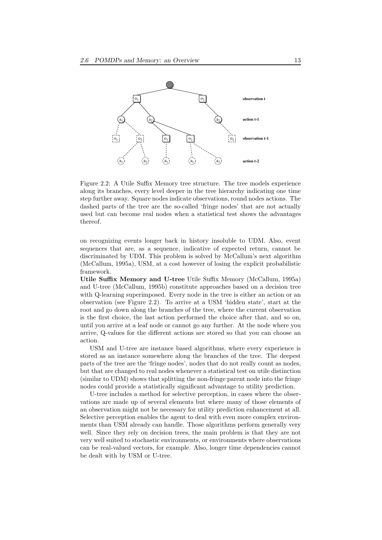

Figure 2.2: A Utile Suffix Memory tree structure. The tree models experience along its branches, every level deeper in the tree hierarchy indicating one time step further away. Square nodes indicate observations, round nodes actions. The dashed parts of the tree are the so-called 'fringe nodes' that are not actually used but can become real nodes when a statistical test shows the advantages thereof.

on recognizing events longer back in history insoluble to UDM. Also, event sequences that are, as a sequence, indicative of expected return, cannot be discriminated by UDM. This problem is solved by McCallum's next algorithm (McCallum, 1995a), USM, at a cost however of losing the explicit probabilistic framework.

Utile Suffix Memory and U-tree Utile Suffix Memory (McCallum, 1995a) and U-tree (McCallum, 1995b) constitute approaches based on a decision tree with Q-learning superimposed. Every node in the tree is either an action or an observation (see Figure 2.2). To arrive at a USM 'hidden state', start at the root and go down along the branches of the tree, where the current observation is the first choice, the last action performed the choice after that, and so on, until you arrive at a leaf node or cannot go any further. At the node where you arrive, Q-values for the different actions are stored so that you can choose an action.

USM and U-tree are instance based algorithms, where every experience is stored as an instance somewhere along the branches of the tree. The deepest parts of the tree are the 'fringe nodes', nodes that do not really count as nodes, but that are changed to real nodes whenever a statistical test on utile distinction (similar to UDM) shows that splitting the non-fringe parent node into the fringe nodes could provide a statistically significant advantage to utility prediction.

U-tree includes a method for selective perception, in cases where the observations are made up of several elements but where many of those elements of an observation might not be necessary for utility prediction enhancement at all. Selective perception enables the agent to deal with even more complex environments than USM already can handle. Those algorithms perform generally very well. Since they rely on decision trees, the main problem is that they are not very well suited to stochastic environments, or environments where observations can be real-valued vectors, for example. Also, longer time dependencies cannot be dealt with by USM or U-tree.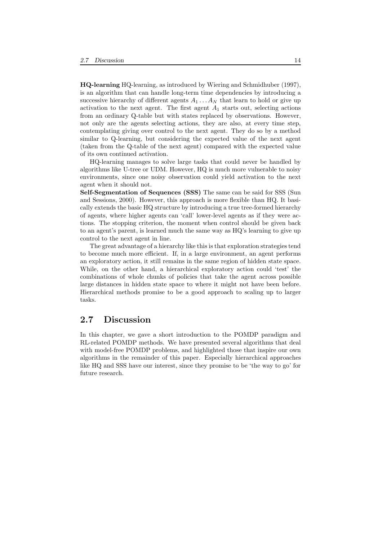HQ-learning HQ-learning, as introduced by Wiering and Schmidhuber (1997), is an algorithm that can handle long-term time dependencies by introducing a successive hierarchy of different agents  $A_1 \ldots A_N$  that learn to hold or give up activation to the next agent. The first agent  $A_1$  starts out, selecting actions from an ordinary Q-table but with states replaced by observations. However, not only are the agents selecting actions, they are also, at every time step, contemplating giving over control to the next agent. They do so by a method similar to Q-learning, but considering the expected value of the next agent (taken from the Q-table of the next agent) compared with the expected value of its own continued activation.

HQ-learning manages to solve large tasks that could never be handled by algorithms like U-tree or UDM. However, HQ is much more vulnerable to noisy environments, since one noisy observation could yield activation to the next agent when it should not.

Self-Segmentation of Sequences (SSS) The same can be said for SSS (Sun and Sessions, 2000). However, this approach is more flexible than HQ. It basically extends the basic HQ structure by introducing a true tree-formed hierarchy of agents, where higher agents can 'call' lower-level agents as if they were actions. The stopping criterion, the moment when control should be given back to an agent's parent, is learned much the same way as HQ's learning to give up control to the next agent in line.

The great advantage of a hierarchy like this is that exploration strategies tend to become much more efficient. If, in a large environment, an agent performs an exploratory action, it still remains in the same region of hidden state space. While, on the other hand, a hierarchical exploratory action could 'test' the combinations of whole chunks of policies that take the agent across possible large distances in hidden state space to where it might not have been before. Hierarchical methods promise to be a good approach to scaling up to larger tasks.

#### 2.7 Discussion

In this chapter, we gave a short introduction to the POMDP paradigm and RL-related POMDP methods. We have presented several algorithms that deal with model-free POMDP problems, and highlighted those that inspire our own algorithms in the remainder of this paper. Especially hierarchical approaches like HQ and SSS have our interest, since they promise to be 'the way to go' for future research.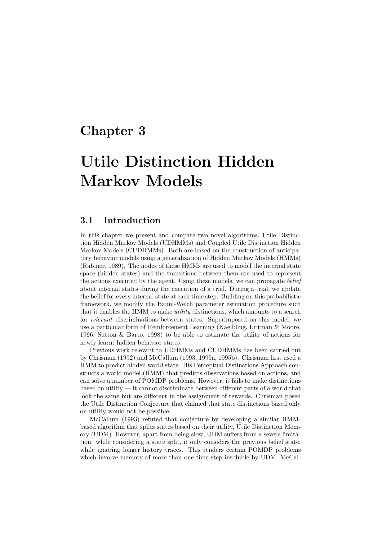## Chapter 3

# Utile Distinction Hidden Markov Models

#### 3.1 Introduction

In this chapter we present and compare two novel algorithms, Utile Distinction Hidden Markov Models (UDHMMs) and Coupled Utile Distinction Hidden Markov Models (CUDHMMs). Both are based on the construction of anticipatory behavior models using a generalization of Hidden Markov Models (HMMs) (Rabiner, 1989). The nodes of these HMMs are used to model the internal state space (hidden states) and the transitions between them are used to represent the actions executed by the agent. Using these models, we can propagate *belief* about internal states during the execution of a trial. During a trial, we update the belief for every internal state at each time step. Building on this probabilistic framework, we modify the Baum-Welch parameter estimation procedure such that it enables the HMM to make utility distinctions, which amounts to a search for relevant discriminations between states. Superimposed on this model, we use a particular form of Reinforcement Learning (Kaelbling, Littman & Moore, 1996; Sutton & Barto, 1998) to be able to estimate the utility of actions for newly learnt hidden behavior states.

Previous work relevant to UDHMMs and CUDHMMs has been carried out by Chrisman (1992) and McCallum (1993, 1995a, 1995b). Chrisman first used a HMM to predict hidden world state. His Perceptual Distinctions Approach constructs a world model (HMM) that predicts observations based on actions, and can solve a number of POMDP problems. However, it fails to make distinctions based on utility — it cannot discriminate between different parts of a world that look the same but are different in the assignment of rewards. Chrisman posed the Utile Distinction Conjecture that claimed that state distinctions based only on utility would not be possible.

McCallum (1993) refuted that conjecture by developing a similar HMMbased algorithm that splits states based on their utility, Utile Distinction Memory (UDM). However, apart from being slow, UDM suffers from a severe limitation: while considering a state split, it only considers the previous belief state, while ignoring longer history traces. This renders certain POMDP problems which involve memory of more than one time step insoluble by UDM. McCal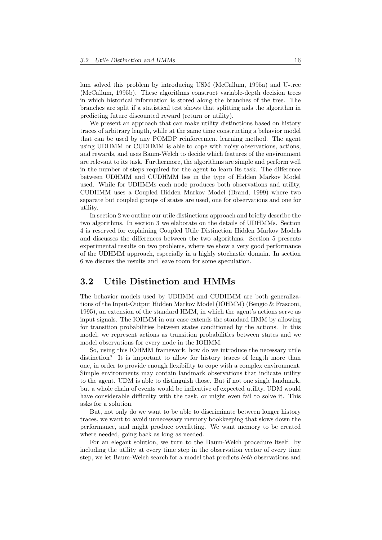lum solved this problem by introducing USM (McCallum, 1995a) and U-tree (McCallum, 1995b). These algorithms construct variable-depth decision trees in which historical information is stored along the branches of the tree. The branches are split if a statistical test shows that splitting aids the algorithm in predicting future discounted reward (return or utility).

We present an approach that can make utility distinctions based on history traces of arbitrary length, while at the same time constructing a behavior model that can be used by any POMDP reinforcement learning method. The agent using UDHMM or CUDHMM is able to cope with noisy observations, actions, and rewards, and uses Baum-Welch to decide which features of the environment are relevant to its task. Furthermore, the algorithms are simple and perform well in the number of steps required for the agent to learn its task. The difference between UDHMM and CUDHMM lies in the type of Hidden Markov Model used. While for UDHMMs each node produces both observations and utility, CUDHMM uses a Coupled Hidden Markov Model (Brand, 1999) where two separate but coupled groups of states are used, one for observations and one for utility.

In section 2 we outline our utile distinctions approach and briefly describe the two algorithms. In section 3 we elaborate on the details of UDHMMs. Section 4 is reserved for explaining Coupled Utile Distinction Hidden Markov Models and discusses the differences between the two algorithms. Section 5 presents experimental results on two problems, where we show a very good performance of the UDHMM approach, especially in a highly stochastic domain. In section 6 we discuss the results and leave room for some speculation.

#### 3.2 Utile Distinction and HMMs

The behavior models used by UDHMM and CUDHMM are both generalizations of the Input-Output Hidden Markov Model (IOHMM) (Bengio & Frasconi, 1995), an extension of the standard HMM, in which the agent's actions serve as input signals. The IOHMM in our case extends the standard HMM by allowing for transition probabilities between states conditioned by the actions. In this model, we represent actions as transition probabilities between states and we model observations for every node in the IOHMM.

So, using this IOHMM framework, how do we introduce the necessary utile distinction? It is important to allow for history traces of length more than one, in order to provide enough flexibility to cope with a complex environment. Simple environments may contain landmark observations that indicate utility to the agent. UDM is able to distinguish those. But if not one single landmark, but a whole chain of events would be indicative of expected utility, UDM would have considerable difficulty with the task, or might even fail to solve it. This asks for a solution.

But, not only do we want to be able to discriminate between longer history traces, we want to avoid unnecessary memory bookkeeping that slows down the performance, and might produce overfitting. We want memory to be created where needed, going back as long as needed.

For an elegant solution, we turn to the Baum-Welch procedure itself: by including the utility at every time step in the observation vector of every time step, we let Baum-Welch search for a model that predicts both observations and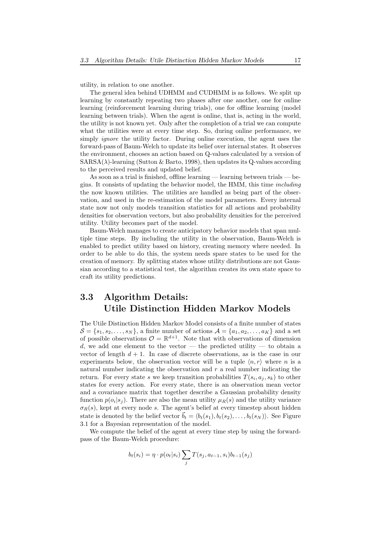utility, in relation to one another.

The general idea behind UDHMM and CUDHMM is as follows. We split up learning by constantly repeating two phases after one another, one for online learning (reinforcement learning during trials), one for offline learning (model learning between trials). When the agent is online, that is, acting in the world, the utility is not known yet. Only after the completion of a trial we can compute what the utilities were at every time step. So, during online performance, we simply *ignore* the utility factor. During online execution, the agent uses the forward-pass of Baum-Welch to update its belief over internal states. It observes the environment, chooses an action based on Q-values calculated by a version of  $SARSA(\lambda)$ -learning (Sutton & Barto, 1998), then updates its Q-values according to the perceived results and updated belief.

As soon as a trial is finished, offline learning — learning between trials — begins. It consists of updating the behavior model, the HMM, this time including the now known utilities. The utilities are handled as being part of the observation, and used in the re-estimation of the model parameters. Every internal state now not only models transition statistics for all actions and probability densities for observation vectors, but also probability densities for the perceived utility. Utility becomes part of the model.

Baum-Welch manages to create anticipatory behavior models that span multiple time steps. By including the utility in the observation, Baum-Welch is enabled to predict utility based on history, creating memory where needed. In order to be able to do this, the system needs spare states to be used for the creation of memory. By splitting states whose utility distributions are not Gaussian according to a statistical test, the algorithm creates its own state space to craft its utility predictions.

### 3.3 Algorithm Details: Utile Distinction Hidden Markov Models

The Utile Distinction Hidden Markov Model consists of a finite number of states  $\mathcal{S} = \{s_1, s_2, \ldots, s_N\},\$ a finite number of actions  $\mathcal{A} = \{a_1, a_2, \ldots, a_K\}$  and a set of possible observations  $\mathcal{O} = \mathbb{R}^{d+1}$ . Note that with observations of dimension d, we add one element to the vector  $-$  the predicted utility  $-$  to obtain a vector of length  $d + 1$ . In case of discrete observations, as is the case in our experiments below, the observation vector will be a tuple  $\langle n, r \rangle$  where n is a natural number indicating the observation and  $r$  a real number indicating the return. For every state s we keep transition probabilities  $T(s_i, a_j, s_k)$  to other states for every action. For every state, there is an observation mean vector and a covariance matrix that together describe a Gaussian probability density function  $p(o_i|s_j)$ . There are also the mean utility  $\mu_R(s)$  and the utility variance  $\sigma_R(s)$ , kept at every node s. The agent's belief at every timestep about hidden state is denoted by the belief vector  $\vec{b}_t = \langle b_t(s_1), b_t(s_2), \ldots, b_t(s_N) \rangle$ . See Figure 3.1 for a Bayesian representation of the model.

We compute the belief of the agent at every time step by using the forwardpass of the Baum-Welch procedure:

$$
b_t(s_i) = \eta \cdot p(o_t|s_i) \sum_j T(s_j, a_{t-1}, s_i) b_{t-1}(s_j)
$$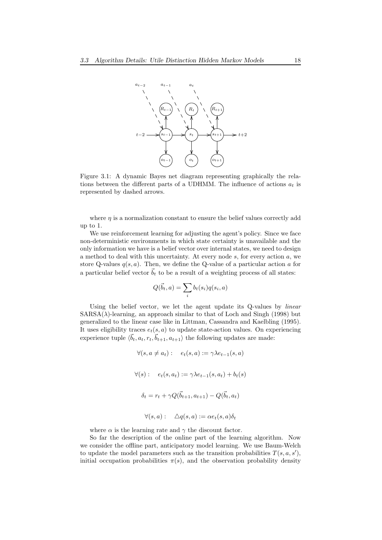

Figure 3.1: A dynamic Bayes net diagram representing graphically the relations between the different parts of a UDHMM. The influence of actions  $a_t$  is represented by dashed arrows.

where  $\eta$  is a normalization constant to ensure the belief values correctly add up to 1.

We use reinforcement learning for adjusting the agent's policy. Since we face non-deterministic environments in which state certainty is unavailable and the only information we have is a belief vector over internal states, we need to design a method to deal with this uncertainty. At every node  $s$ , for every action  $a$ , we store Q-values  $q(s, a)$ . Then, we define the Q-value of a particular action a for a particular belief vector  $\vec{b}_t$  to be a result of a weighting process of all states:

$$
Q(\vec{b}_t, a) = \sum_i b_t(s_i) q(s_i, a)
$$

Using the belief vector, we let the agent update its Q-values by linear  $SARSA(\lambda)$ -learning, an approach similar to that of Loch and Singh (1998) but generalized to the linear case like in Littman, Cassandra and Kaelbling (1995). It uses eligibility traces  $e_t(s, a)$  to update state-action values. On experiencing experience tuple  $\langle \vec{b}_t, a_t, r_t, \vec{b}_{t+1}, a_{t+1} \rangle$  the following updates are made:

$$
\forall (s, a \neq a_t): \quad e_t(s, a) := \gamma \lambda e_{t-1}(s, a)
$$

$$
\forall (s): \quad e_t(s, a_t) := \gamma \lambda e_{t-1}(s, a_t) + b_t(s)
$$

$$
\delta_t = r_t + \gamma Q(\vec{b}_{t+1}, a_{t+1}) - Q(\vec{b}_t, a_t)
$$

$$
\forall (s, a): \quad \Delta q(s, a) := \alpha e_t(s, a)\delta_t
$$

where  $\alpha$  is the learning rate and  $\gamma$  the discount factor.

So far the description of the online part of the learning algorithm. Now we consider the offline part, anticipatory model learning. We use Baum-Welch to update the model parameters such as the transition probabilities  $T(s, a, s')$ , initial occupation probabilities  $\pi(s)$ , and the observation probability density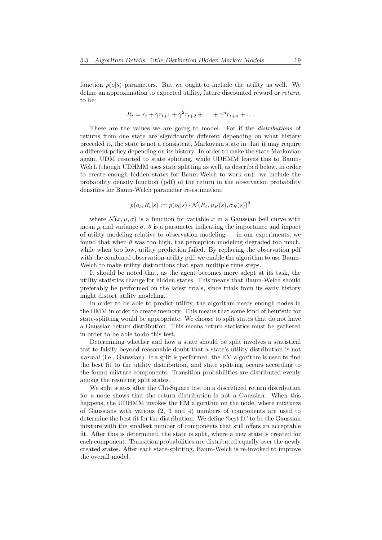function  $p(o|s)$  parameters. But we ought to include the utility as well. We define an approximation to expected utility, future discounted reward or return, to be:

$$
R_t = r_t + \gamma r_{t+1} + \gamma^2 r_{t+2} + \ldots + \gamma^n r_{t+n} + \ldots
$$

These are the values we are going to model. For if the *distributions* of returns from one state are significantly different depending on what history preceded it, the state is not a consistent, Markovian state in that it may require a different policy depending on its history. In order to make the state Markovian again, UDM resorted to state splitting, while UDHMM leaves this to Baum-Welch (though UDHMM uses state splitting as well, as described below, in order to create enough hidden states for Baum-Welch to work on): we include the probability density function (pdf) of the return in the observation probability densities for Baum-Welch parameter re-estimation:

$$
p(o_t, R_t|s) := p(o_t|s) \cdot \mathcal{N}(R_t, \mu_R(s), \sigma_R(s))^{\theta}
$$

where  $\mathcal{N}(x, \mu, \sigma)$  is a function for variable x in a Gaussian bell curve with mean  $\mu$  and variance  $\sigma$ .  $\theta$  is a parameter indicating the importance and impact of utility modeling relative to observation modeling — in our experiments, we found that when  $\theta$  was too high, the perception modeling degraded too much, while when too low, utility prediction failed. By replacing the observation pdf with the combined observation-utility pdf, we enable the algorithm to use Baum-Welch to make utility distinctions that span multiple time steps.

It should be noted that, as the agent becomes more adept at its task, the utility statistics change for hidden states. This means that Baum-Welch should preferably be performed on the latest trials, since trials from its early history might distort utility modeling.

In order to be able to predict utility, the algorithm needs enough nodes in the HMM in order to create memory. This means that some kind of heuristic for state-splitting would be appropriate. We choose to split states that do not have a Gaussian return distribution. This means return statistics must be gathered in order to be able to do this test.

Determining whether and how a state should be split involves a statistical test to falsify beyond reasonable doubt that a state's utility distribution is not normal (i.e., Gaussian). If a split is performed, the EM algorithm is used to find the best fit to the utility distribution, and state splitting occurs according to the found mixture components. Transition probabilities are distributed evenly among the resulting split states.

We split states after the Chi-Square test on a discretized return distribution for a node shows that the return distribution is not a Gaussian. When this happens, the UDHMM invokes the EM algorithm on the node, where mixtures of Gaussians with various (2, 3 and 4) numbers of components are used to determine the best fit for the distribution. We define 'best fit' to be the Gaussian mixture with the smallest number of components that still offers an acceptable fit. After this is determined, the state is split, where a new state is created for each component. Transition probabilities are distributed equally over the newly created states. After each state-splitting, Baum-Welch is re-invoked to improve the overall model.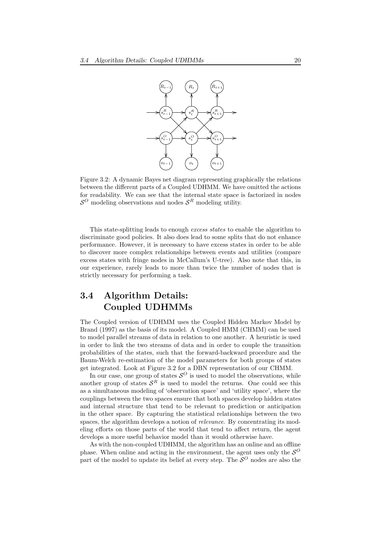

Figure 3.2: A dynamic Bayes net diagram representing graphically the relations between the different parts of a Coupled UDHMM. We have omitted the actions for readability. We can see that the internal state space is factorized in nodes  $\mathcal{S}^O$  modeling observations and nodes  $\mathcal{S}^R$  modeling utility.

This state-splitting leads to enough excess states to enable the algorithm to discriminate good policies. It also does lead to some splits that do not enhance performance. However, it is necessary to have excess states in order to be able to discover more complex relationships between events and utilities (compare excess states with fringe nodes in McCallum's U-tree). Also note that this, in our experience, rarely leads to more than twice the number of nodes that is strictly necessary for performing a task.

### 3.4 Algorithm Details: Coupled UDHMMs

The Coupled version of UDHMM uses the Coupled Hidden Markov Model by Brand (1997) as the basis of its model. A Coupled HMM (CHMM) can be used to model parallel streams of data in relation to one another. A heuristic is used in order to link the two streams of data and in order to couple the transition probabilities of the states, such that the forward-backward procedure and the Baum-Welch re-estimation of the model parameters for both groups of states get integrated. Look at Figure 3.2 for a DBN representation of our CHMM.

In our case, one group of states  $\mathcal{S}^O$  is used to model the observations, while another group of states  $S<sup>R</sup>$  is used to model the returns. One could see this as a simultaneous modeling of 'observation space' and 'utility space', where the couplings between the two spaces ensure that both spaces develop hidden states and internal structure that tend to be relevant to prediction or anticipation in the other space. By capturing the statistical relationships between the two spaces, the algorithm develops a notion of relevance. By concentrating its modeling efforts on those parts of the world that tend to affect return, the agent develops a more useful behavior model than it would otherwise have.

As with the non-coupled UDHMM, the algorithm has an online and an offline phase. When online and acting in the environment, the agent uses only the  $\mathcal{S}^O$ part of the model to update its belief at every step. The  $\mathcal{S}^O$  nodes are also the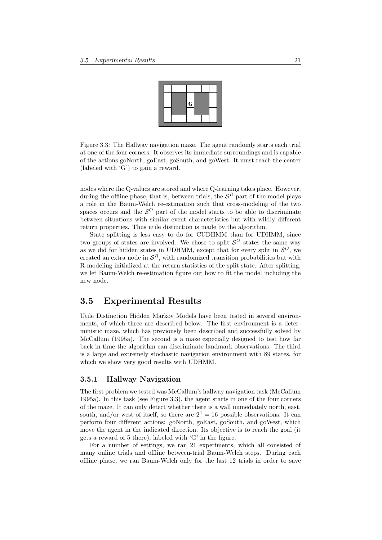

Figure 3.3: The Hallway navigation maze. The agent randomly starts each trial at one of the four corners. It observes its immediate surroundings and is capable of the actions goNorth, goEast, goSouth, and goWest. It must reach the center (labeled with 'G') to gain a reward.

nodes where the Q-values are stored and where Q-learning takes place. However, during the offline phase, that is, between trials, the  $S<sup>R</sup>$  part of the model plays a role in the Baum-Welch re-estimation such that cross-modeling of the two spaces occurs and the  $\mathcal{S}^O$  part of the model starts to be able to discriminate between situations with similar event characteristics but with wildly different return properties. Thus utile distinction is made by the algorithm.

State splitting is less easy to do for CUDHMM than for UDHMM, since two groups of states are involved. We chose to split  $\mathcal{S}^O$  states the same way as we did for hidden states in UDHMM, except that for every split in  $\mathcal{S}^O$ , we created an extra node in  $\mathcal{S}^R$ , with randomized transition probabilities but with R-modeling initialized at the return statistics of the split state. After splitting, we let Baum-Welch re-estimation figure out how to fit the model including the new node.

#### 3.5 Experimental Results

Utile Distinction Hidden Markov Models have been tested in several environments, of which three are described below. The first environment is a deterministic maze, which has previously been described and successfully solved by McCallum (1995a). The second is a maze especially designed to test how far back in time the algorithm can discriminate landmark observations. The third is a large and extremely stochastic navigation environment with 89 states, for which we show very good results with UDHMM.

#### 3.5.1 Hallway Navigation

The first problem we tested was McCallum's hallway navigation task (McCallum 1995a). In this task (see Figure 3.3), the agent starts in one of the four corners of the maze. It can only detect whether there is a wall immediately north, east, south, and/or west of itself, so there are  $2^4 = 16$  possible observations. It can perform four different actions: goNorth, goEast, goSouth, and goWest, which move the agent in the indicated direction. Its objective is to reach the goal (it gets a reward of 5 there), labeled with 'G' in the figure.

For a number of settings, we ran 21 experiments, which all consisted of many online trials and offline between-trial Baum-Welch steps. During each offline phase, we ran Baum-Welch only for the last 12 trials in order to save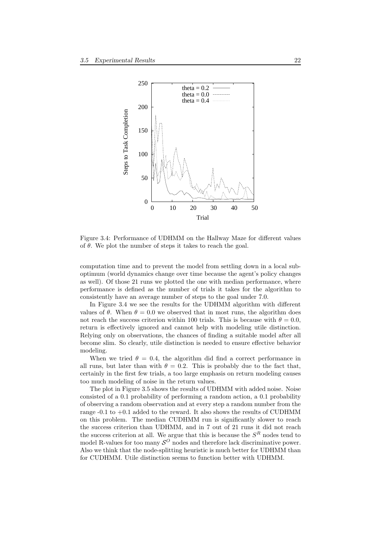

Figure 3.4: Performance of UDHMM on the Hallway Maze for different values of  $\theta$ . We plot the number of steps it takes to reach the goal.

computation time and to prevent the model from settling down in a local suboptimum (world dynamics change over time because the agent's policy changes as well). Of those 21 runs we plotted the one with median performance, where performance is defined as the number of trials it takes for the algorithm to consistently have an average number of steps to the goal under 7.0.

In Figure 3.4 we see the results for the UDHMM algorithm with different values of  $\theta$ . When  $\theta = 0.0$  we observed that in most runs, the algorithm does not reach the success criterion within 100 trials. This is because with  $\theta = 0.0$ , return is effectively ignored and cannot help with modeling utile distinction. Relying only on observations, the chances of finding a suitable model after all become slim. So clearly, utile distinction is needed to ensure effective behavior modeling.

When we tried  $\theta = 0.4$ , the algorithm did find a correct performance in all runs, but later than with  $\theta = 0.2$ . This is probably due to the fact that, certainly in the first few trials, a too large emphasis on return modeling causes too much modeling of noise in the return values.

The plot in Figure 3.5 shows the results of UDHMM with added noise. Noise consisted of a 0.1 probability of performing a random action, a 0.1 probability of observing a random observation and at every step a random number from the range  $-0.1$  to  $+0.1$  added to the reward. It also shows the results of CUDHMM on this problem. The median CUDHMM run is significantly slower to reach the success criterion than UDHMM, and in 7 out of 21 runs it did not reach the success criterion at all. We argue that this is because the  $S<sup>R</sup>$  nodes tend to model R-values for too many  $\mathcal{S}^O$  nodes and therefore lack discriminative power. Also we think that the node-splitting heuristic is much better for UDHMM than for CUDHMM. Utile distinction seems to function better with UDHMM.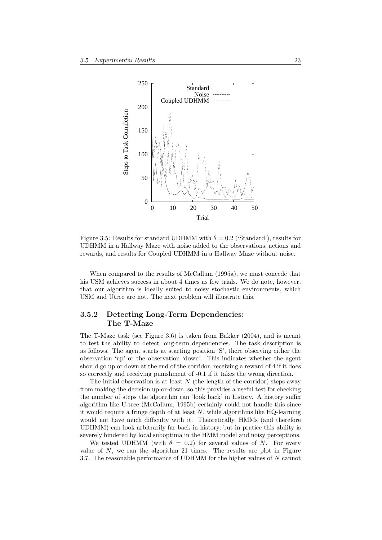

Figure 3.5: Results for standard UDHMM with  $\theta = 0.2$  ('Standard'), results for UDHMM in a Hallway Maze with noise added to the observations, actions and rewards, and results for Coupled UDHMM in a Hallway Maze without noise.

When compared to the results of McCallum (1995a), we must concede that his USM achieves success in about 4 times as few trials. We do note, however, that our algorithm is ideally suited to noisy stochastic environments, which USM and Utree are not. The next problem will illustrate this.

#### 3.5.2 Detecting Long-Term Dependencies: The T-Maze

The T-Maze task (see Figure 3.6) is taken from Bakker (2004), and is meant to test the ability to detect long-term dependencies. The task description is as follows. The agent starts at starting position 'S', there observing either the observation 'up' or the observation 'down'. This indicates whether the agent should go up or down at the end of the corridor, receiving a reward of 4 if it does so correctly and receiving punishment of -0.1 if it takes the wrong direction.

The initial observation is at least  $N$  (the length of the corridor) steps away from making the decision up-or-down, so this provides a useful test for checking the number of steps the algorithm can 'look back' in history. A history suffix algorithm like U-tree (McCallum, 1995b) certainly could not handle this since it would require a fringe depth of at least  $N$ , while algorithms like HQ-learning would not have much difficulty with it. Theoretically, HMMs (and therefore UDHMM) can look arbitrarily far back in history, but in pratice this ability is severely hindered by local suboptima in the HMM model and noisy perceptions.

We tested UDHMM (with  $\theta = 0.2$ ) for several values of N. For every value of  $N$ , we ran the algorithm 21 times. The results are plot in Figure 3.7. The reasonable performance of UDHMM for the higher values of N cannot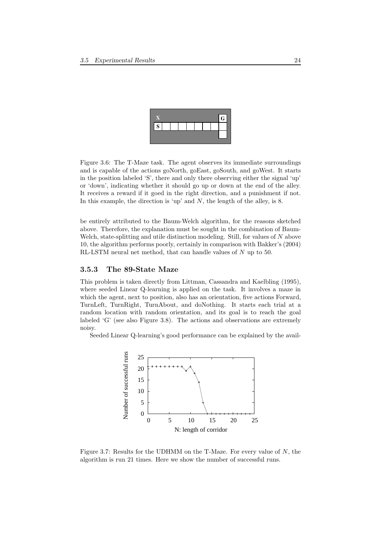

Figure 3.6: The T-Maze task. The agent observes its immediate surroundings and is capable of the actions goNorth, goEast, goSouth, and goWest. It starts in the position labeled 'S', there and only there observing either the signal 'up' or 'down', indicating whether it should go up or down at the end of the alley. It receives a reward if it goed in the right direction, and a punishment if not. In this example, the direction is 'up' and  $N$ , the length of the alley, is 8.

be entirely attributed to the Baum-Welch algorithm, for the reasons sketched above. Therefore, the explanation must be sought in the combination of Baum-Welch, state-splitting and utile distinction modeling. Still, for values of  $N$  above 10, the algorithm performs poorly, certainly in comparison with Bakker's (2004) RL-LSTM neural net method, that can handle values of N up to 50.

#### 3.5.3 The 89-State Maze

This problem is taken directly from Littman, Cassandra and Kaelbling (1995), where seeded Linear Q-learning is applied on the task. It involves a maze in which the agent, next to position, also has an orientation, five actions Forward, TurnLeft, TurnRight, TurnAbout, and doNothing. It starts each trial at a random location with random orientation, and its goal is to reach the goal labeled 'G' (see also Figure 3.8). The actions and observations are extremely noisy.

Seeded Linear Q-learning's good performance can be explained by the avail-



Figure 3.7: Results for the UDHMM on the T-Maze. For every value of  $N$ , the algorithm is run 21 times. Here we show the number of successful runs.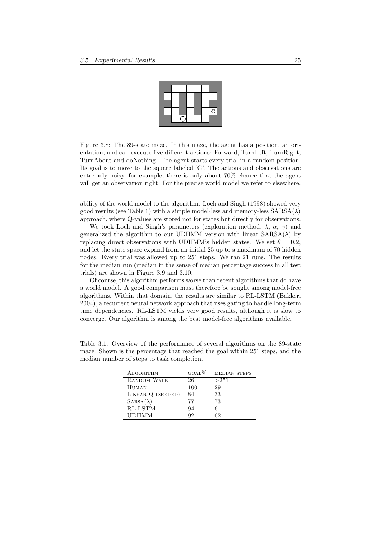

Figure 3.8: The 89-state maze. In this maze, the agent has a position, an orientation, and can execute five different actions: Forward, TurnLeft, TurnRight, TurnAbout and doNothing. The agent starts every trial in a random position. Its goal is to move to the square labeled 'G'. The actions and observations are extremely noisy, for example, there is only about 70% chance that the agent will get an observation right. For the precise world model we refer to elsewhere.

ability of the world model to the algorithm. Loch and Singh (1998) showed very good results (see Table 1) with a simple model-less and memory-less  $SARSA(\lambda)$ approach, where Q-values are stored not for states but directly for observations.

We took Loch and Singh's parameters (exploration method,  $\lambda$ ,  $\alpha$ ,  $\gamma$ ) and generalized the algorithm to our UDHMM version with linear  $SARSA(\lambda)$  by replacing direct observations with UDHMM's hidden states. We set  $\theta = 0.2$ , and let the state space expand from an initial 25 up to a maximum of 70 hidden nodes. Every trial was allowed up to 251 steps. We ran 21 runs. The results for the median run (median in the sense of median percentage success in all test trials) are shown in Figure 3.9 and 3.10.

Of course, this algorithm performs worse than recent algorithms that do have a world model. A good comparison must therefore be sought among model-free algorithms. Within that domain, the results are similar to RL-LSTM (Bakker, 2004), a recurrent neural network approach that uses gating to handle long-term time dependencies. RL-LSTM yields very good results, although it is slow to converge. Our algorithm is among the best model-free algorithms available.

| ALGORITHM         | $GOAL\%$ | <b>MEDIAN STEPS</b> |
|-------------------|----------|---------------------|
| RANDOM WALK       | 26       | >251                |
| <b>HUMAN</b>      | 100      | 29                  |
| LINEAR Q (SEEDED) | 84       | 33                  |
| $SARSA(\lambda)$  | 77       | 73                  |
| RL-LSTM           | 94       | 61                  |
| <b>UDHMM</b>      | 92       | 62                  |

Table 3.1: Overview of the performance of several algorithms on the 89-state maze. Shown is the percentage that reached the goal within 251 steps, and the median number of steps to task completion.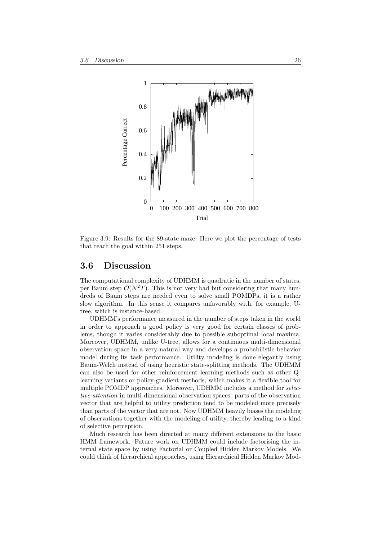

Figure 3.9: Results for the 89-state maze. Here we plot the percentage of tests that reach the goal within 251 steps.

#### 3.6 Discussion

The computational complexity of UDHMM is quadratic in the number of states, per Baum step  $\mathcal{O}(N^2T)$ . This is not very bad but considering that many hundreds of Baum steps are needed even to solve small POMDPs, it is a rather slow algorithm. In this sense it compares unfavorably with, for example, Utree, which is instance-based.

UDHMM's performance measured in the number of steps taken in the world in order to approach a good policy is very good for certain classes of problems, though it varies considerably due to possible suboptimal local maxima. Moreover, UDHMM, unlike U-tree, allows for a continuous multi-dimensional observation space in a very natural way and develops a probabilistic behavior model during its task performance. Utility modeling is done elegantly using Baum-Welch instead of using heuristic state-splitting methods. The UDHMM can also be used for other reinforcement learning methods such as other Qlearning variants or policy-gradient methods, which makes it a flexible tool for multiple POMDP approaches. Moreover, UDHMM includes a method for *selec*tive attention in multi-dimensional observation spaces: parts of the observation vector that are helpful to utility prediction tend to be modeled more precisely than parts of the vector that are not. Now UDHMM heavily biases the modeling of observations together with the modeling of utility, thereby leading to a kind of selective perception.

Much research has been directed at many different extensions to the basic HMM framework. Future work on UDHMM could include factorising the internal state space by using Factorial or Coupled Hidden Markov Models. We could think of hierarchical approaches, using Hierarchical Hidden Markov Mod-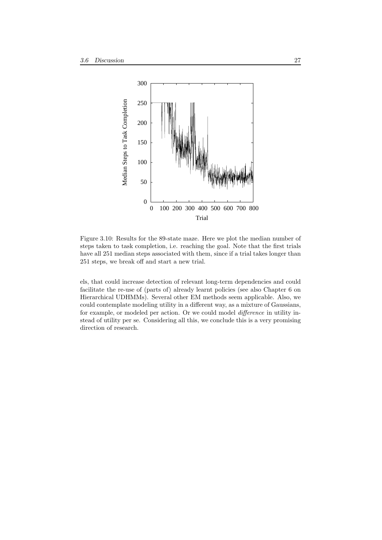

Figure 3.10: Results for the 89-state maze. Here we plot the median number of steps taken to task completion, i.e. reaching the goal. Note that the first trials have all 251 median steps associated with them, since if a trial takes longer than 251 steps, we break off and start a new trial.

els, that could increase detection of relevant long-term dependencies and could facilitate the re-use of (parts of) already learnt policies (see also Chapter 6 on Hierarchical UDHMMs). Several other EM methods seem applicable. Also, we could contemplate modeling utility in a different way, as a mixture of Gaussians, for example, or modeled per action. Or we could model difference in utility instead of utility per se. Considering all this, we conclude this is a very promising direction of research.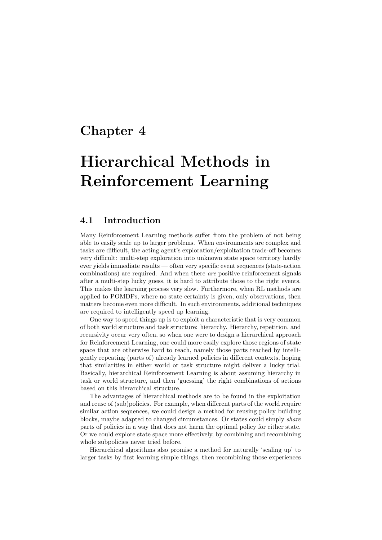## Chapter 4

# Hierarchical Methods in Reinforcement Learning

#### 4.1 Introduction

Many Reinforcement Learning methods suffer from the problem of not being able to easily scale up to larger problems. When environments are complex and tasks are difficult, the acting agent's exploration/exploitation trade-off becomes very difficult: multi-step exploration into unknown state space territory hardly ever yields immediate results — often very specific event sequences (state-action combinations) are required. And when there are positive reinforcement signals after a multi-step lucky guess, it is hard to attribute those to the right events. This makes the learning process very slow. Furthermore, when RL methods are applied to POMDPs, where no state certainty is given, only observations, then matters become even more difficult. In such environments, additional techniques are required to intelligently speed up learning.

One way to speed things up is to exploit a characteristic that is very common of both world structure and task structure: hierarchy. Hierarchy, repetition, and recursivity occur very often, so when one were to design a hierarchical approach for Reinforcement Learning, one could more easily explore those regions of state space that are otherwise hard to reach, namely those parts reached by intelligently repeating (parts of) already learned policies in different contexts, hoping that similarities in either world or task structure might deliver a lucky trial. Basically, hierarchical Reinforcement Learning is about assuming hierarchy in task or world structure, and then 'guessing' the right combinations of actions based on this hierarchical structure.

The advantages of hierarchical methods are to be found in the exploitation and reuse of (sub)policies. For example, when different parts of the world require similar action sequences, we could design a method for reusing policy building blocks, maybe adapted to changed circumstances. Or states could simply share parts of policies in a way that does not harm the optimal policy for either state. Or we could explore state space more effectively, by combining and recombining whole subpolicies never tried before.

Hierarchical algorithms also promise a method for naturally 'scaling up' to larger tasks by first learning simple things, then recombining those experiences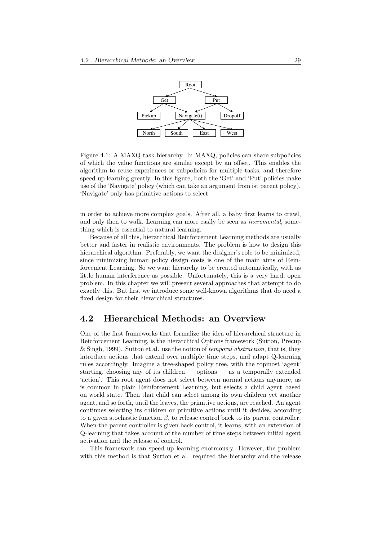

Figure 4.1: A MAXQ task hierarchy. In MAXQ, policies can share subpolicies of which the value functions are similar except by an offset. This enables the algorithm to reuse experiences or subpolicies for multiple tasks, and therefore speed up learning greatly. In this figure, both the 'Get' and 'Put' policies make use of the 'Navigate' policy (which can take an argument from ist parent policy). 'Navigate' only has primitive actions to select.

in order to achieve more complex goals. After all, a baby first learns to crawl, and only then to walk. Learning can more easily be seen as incremental, something which is essential to natural learning.

Because of all this, hierarchical Reinforcement Learning methods are usually better and faster in realistic environments. The problem is how to design this hierarchical algorithm. Preferably, we want the designer's role to be minimized, since minimizing human policy design costs is one of the main aims of Reinforcement Learning. So we want hierarchy to be created automatically, with as little human interference as possible. Unfortunately, this is a very hard, open problem. In this chapter we will present several approaches that attempt to do exactly this. But first we introduce some well-known algorithms that do need a fixed design for their hierarchical structures.

#### 4.2 Hierarchical Methods: an Overview

One of the first frameworks that formalize the idea of hierarchical structure in Reinforcement Learning, is the hierarchical Options framework (Sutton, Precup & Singh, 1999). Sutton et al. use the notion of *temporal abstraction*, that is, they introduce actions that extend over multiple time steps, and adapt Q-learning rules accordingly. Imagine a tree-shaped policy tree, with the topmost 'agent' starting, choosing any of its children — options — as a temporally extended 'action'. This root agent does not select between normal actions anymore, as is common in plain Reinforcement Learning, but selects a child agent based on world state. Then that child can select among its own children yet another agent, and so forth, until the leaves, the primitive actions, are reached. An agent continues selecting its children or primitive actions until it decides, according to a given stochastic function  $\beta$ , to release control back to its parent controller. When the parent controller is given back control, it learns, with an extension of Q-learning that takes account of the number of time steps between initial agent activation and the release of control.

This framework can speed up learning enormously. However, the problem with this method is that Sutton et al. required the hierarchy and the release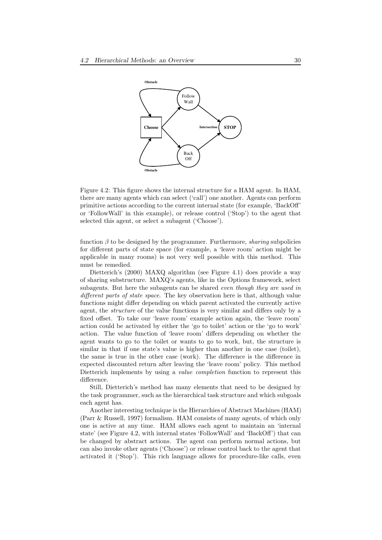

Figure 4.2: This figure shows the internal structure for a HAM agent. In HAM, there are many agents which can select ('call') one another. Agents can perform primitive actions according to the current internal state (for example, 'BackOff' or 'FollowWall' in this example), or release control ('Stop') to the agent that selected this agent, or select a subagent ('Choose').

function  $\beta$  to be designed by the programmer. Furthermore, *sharing* subpolicies for different parts of state space (for example, a 'leave room' action might be applicable in many rooms) is not very well possible with this method. This must be remedied.

Dietterich's (2000) MAXQ algorithm (see Figure 4.1) does provide a way of sharing substructure. MAXQ's agents, like in the Options framework, select subagents. But here the subagents can be shared *even though they are used in* different parts of state space. The key observation here is that, although value functions might differ depending on which parent activated the currently active agent, the structure of the value functions is very similar and differs only by a fixed offset. To take our 'leave room' example action again, the 'leave room' action could be activated by either the 'go to toilet' action or the 'go to work' action. The value function of 'leave room' differs depending on whether the agent wants to go to the toilet or wants to go to work, but, the structure is similar in that if one state's value is higher than another in one case (toilet), the same is true in the other case (work). The difference is the difference in expected discounted return after leaving the 'leave room' policy. This method Dietterich implements by using a *value completion* function to represent this difference.

Still, Dietterich's method has many elements that need to be designed by the task programmer, such as the hierarchical task structure and which subgoals each agent has.

Another interesting technique is the Hierarchies of Abstract Machines (HAM) (Parr & Russell, 1997) formalism. HAM consists of many agents, of which only one is active at any time. HAM allows each agent to maintain an 'internal state' (see Figure 4.2, with internal states 'FollowWall' and 'BackOff') that can be changed by abstract actions. The agent can perform normal actions, but can also invoke other agents ('Choose') or release control back to the agent that activated it ('Stop'). This rich language allows for procedure-like calls, even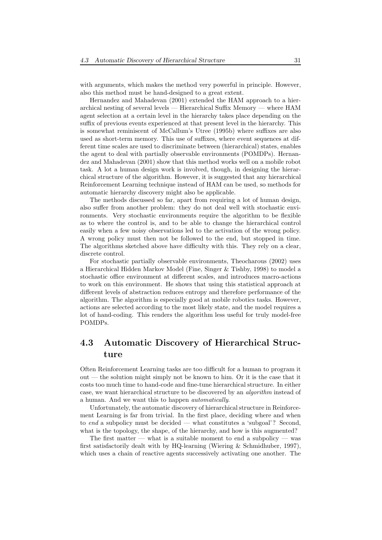with arguments, which makes the method very powerful in principle. However, also this method must be hand-designed to a great extent.

Hernandez and Mahadevan (2001) extended the HAM approach to a hierarchical nesting of several levels — Hierarchical Suffix Memory — where HAM agent selection at a certain level in the hierarchy takes place depending on the suffix of previous events experienced at that present level in the hierarchy. This is somewhat reminiscent of McCallum's Utree (1995b) where suffixes are also used as short-term memory. This use of suffixes, where event sequences at different time scales are used to discriminate between (hierarchical) states, enables the agent to deal with partially observable environments (POMDPs). Hernandez and Mahadevan (2001) show that this method works well on a mobile robot task. A lot a human design work is involved, though, in designing the hierarchical structure of the algorithm. However, it is suggested that any hierarchical Reinforcement Learning technique instead of HAM can be used, so methods for automatic hierarchy discovery might also be applicable.

The methods discussed so far, apart from requiring a lot of human design, also suffer from another problem: they do not deal well with stochastic environments. Very stochastic environments require the algorithm to be flexible as to where the control is, and to be able to change the hierarchical control easily when a few noisy observations led to the activation of the wrong policy. A wrong policy must then not be followed to the end, but stopped in time. The algorithms sketched above have difficulty with this. They rely on a clear, discrete control.

For stochastic partially observable environments, Theocharous (2002) uses a Hierarchical Hidden Markov Model (Fine, Singer & Tishby, 1998) to model a stochastic office environment at different scales, and introduces macro-actions to work on this environment. He shows that using this statistical approach at different levels of abstraction reduces entropy and therefore performance of the algorithm. The algorithm is especially good at mobile robotics tasks. However, actions are selected according to the most likely state, and the model requires a lot of hand-coding. This renders the algorithm less useful for truly model-free POMDPs.

### 4.3 Automatic Discovery of Hierarchical Structure

Often Reinforcement Learning tasks are too difficult for a human to program it out — the solution might simply not be known to him. Or it is the case that it costs too much time to hand-code and fine-tune hierarchical structure. In either case, we want hierarchical structure to be discovered by an algorithm instead of a human. And we want this to happen automatically.

Unfortunately, the automatic discovery of hierarchical structure in Reinforcement Learning is far from trivial. In the first place, deciding where and when to end a subpolicy must be decided — what constitutes a 'subgoal'? Second, what is the topology, the shape, of the hierarchy, and how is this augmented?

The first matter — what is a suitable moment to end a subpolicy — was first satisfactorily dealt with by HQ-learning (Wiering  $\&$  Schmidhuber, 1997), which uses a chain of reactive agents successively activating one another. The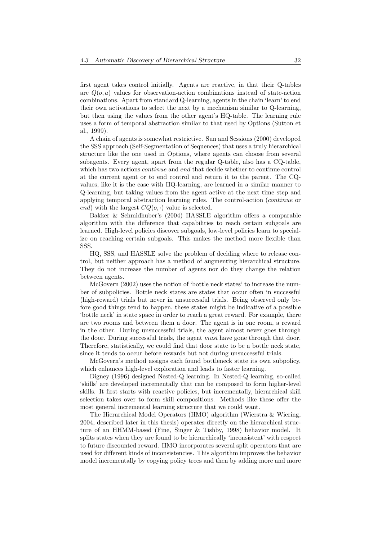first agent takes control initially. Agents are reactive, in that their Q-tables are  $Q(o, a)$  values for observation-action combinations instead of state-action combinations. Apart from standard Q-learning, agents in the chain 'learn' to end their own activations to select the next by a mechanism similar to Q-learning, but then using the values from the other agent's HQ-table. The learning rule uses a form of temporal abstraction similar to that used by Options (Sutton et al., 1999).

A chain of agents is somewhat restrictive. Sun and Sessions (2000) developed the SSS approach (Self-Segmentation of Sequences) that uses a truly hierarchical structure like the one used in Options, where agents can choose from several subagents. Every agent, apart from the regular Q-table, also has a CQ-table, which has two actions *continue* and end that decide whether to continue control at the current agent or to end control and return it to the parent. The CQvalues, like it is the case with HQ-learning, are learned in a similar manner to Q-learning, but taking values from the agent active at the next time step and applying temporal abstraction learning rules. The control-action (continue or end) with the largest  $CQ(o, \cdot)$  value is selected.

Bakker & Schmidhuber's (2004) HASSLE algorithm offers a comparable algorithm with the difference that capabilities to reach certain subgoals are learned. High-level policies discover subgoals, low-level policies learn to specialize on reaching certain subgoals. This makes the method more flexible than SSS.

HQ, SSS, and HASSLE solve the problem of deciding where to release control, but neither approach has a method of augmenting hierarchical structure. They do not increase the number of agents nor do they change the relation between agents.

McGovern (2002) uses the notion of 'bottle neck states' to increase the number of subpolicies. Bottle neck states are states that occur often in successful (high-reward) trials but never in unsuccessful trials. Being observed only before good things tend to happen, these states might be indicative of a possible 'bottle neck' in state space in order to reach a great reward. For example, there are two rooms and between them a door. The agent is in one room, a reward in the other. During unsuccessful trials, the agent almost never goes through the door. During successful trials, the agent *must* have gone through that door. Therefore, statistically, we could find that door state to be a bottle neck state, since it tends to occur before rewards but not during unsuccessful trials.

McGovern's method assigns each found bottleneck state its own subpolicy, which enhances high-level exploration and leads to faster learning.

Digney (1996) designed Nested-Q learning. In Nested-Q learning, so-called 'skills' are developed incrementally that can be composed to form higher-level skills. It first starts with reactive policies, but incrementally, hierarchical skill selection takes over to form skill compositions. Methods like these offer the most general incremental learning structure that we could want.

The Hierarchical Model Operators (HMO) algorithm (Wierstra & Wiering, 2004, described later in this thesis) operates directly on the hierarchical structure of an HHMM-based (Fine, Singer & Tishby, 1998) behavior model. It splits states when they are found to be hierarchically 'inconsistent' with respect to future discounted reward. HMO incorporates several split operators that are used for different kinds of inconsistencies. This algorithm improves the behavior model incrementally by copying policy trees and then by adding more and more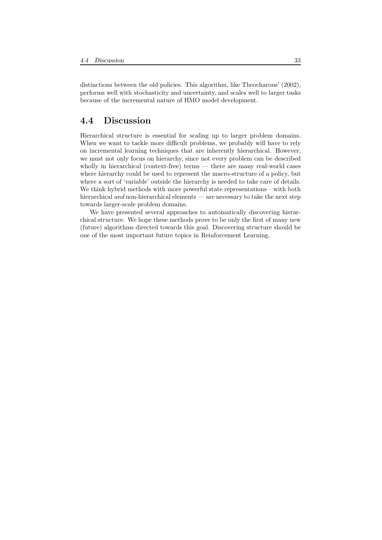distinctions between the old policies. This algorithm, like Theocharous' (2002), performs well with stochasticity and uncertainty, and scales well to larger tasks because of the incremental nature of HMO model development.

#### 4.4 Discussion

Hierarchical structure is essential for scaling up to larger problem domains. When we want to tackle more difficult problems, we probably will have to rely on incremental learning techniques that are inherently hierarchical. However, we must not only focus on hierarchy, since not every problem can be described wholly in hierarchical (context-free) terms — there are many real-world cases where hierarchy could be used to represent the macro-structure of a policy, but where a sort of 'variable' outside the hierarchy is needed to take care of details. We think hybrid methods with more powerful state representations – with both hierarchical and non-hierarchical elements — are necessary to take the next step towards larger-scale problem domains.

We have presented several approaches to automatically discovering hierarchical structure. We hope these methods prove to be only the first of many new (future) algorithms directed towards this goal. Discovering structure should be one of the most important future topics in Reinforcement Learning.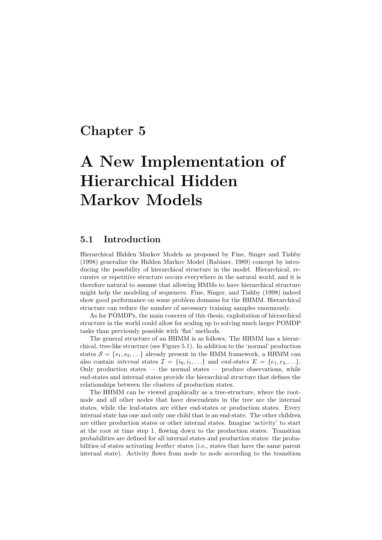## Chapter 5

# A New Implementation of Hierarchical Hidden Markov Models

#### 5.1 Introduction

Hierarchical Hidden Markov Models as proposed by Fine, Singer and Tishby (1998) generalize the Hidden Markov Model (Rabiner, 1989) concept by introducing the possibility of hierarchical structure in the model. Hierarchical, recursive or repetitive structure occurs everywhere in the natural world, and it is therefore natural to assume that allowing HMMs to have hierarchical structure might help the modeling of sequences. Fine, Singer, and Tishby (1998) indeed show good performance on some problem domains for the HHMM. Hierarchical structure can reduce the number of necessary training samples enormously.

As for POMDPs, the main concern of this thesis, exploitation of hierarchical structure in the world could allow for scaling up to solving much larger POMDP tasks than previously possible with 'flat' methods.

The general structure of an HHMM is as follows. The HHMM has a hierarchical, tree-like structure (see Figure 5.1). In addition to the 'normal' production states  $S = \{s_1, s_2, \ldots\}$  already present in the HMM framework, a HHMM can also contain internal states  $\mathcal{I} = \{i_0, i_1, \ldots\}$  and end-states  $E = \{e_1, e_2, \ldots\}$ . Only production states  $-$  the normal states  $-$  produce observations, while end-states and internal states provide the hierarchical structure that defines the relationships between the clusters of production states.

The HHMM can be viewed graphically as a tree-structure, where the rootnode and all other nodes that have descendents in the tree are the internal states, while the leaf-states are either end-states or production states. Every internal state has one and only one child that is an end-state. The other children are either production states or other internal states. Imagine 'activity' to start at the root at time step 1, flowing down to the production states. Transition probabilities are defined for all internal states and production states: the probabilities of states activating brother states (i.e., states that have the same parent internal state). Activity flows from node to node according to the transition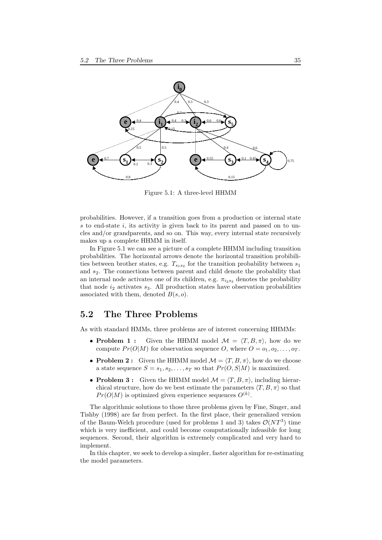

Figure 5.1: A three-level HHMM

probabilities. However, if a transition goes from a production or internal state s to end-state i, its activity is given back to its parent and passed on to uncles and/or grandparents, and so on. This way, every internal state recursively makes up a complete HHMM in itself.

In Figure 5.1 we can see a picture of a complete HHMM including transition probabilities. The horizontal arrows denote the horizontal transition probibilities between brother states, e.g.  $T_{s_1s_2}$  for the transition probability between  $s_1$ and  $s_2$ . The connections between parent and child denote the probability that an internal node activates one of its children, e.g.  $\pi_{i_2s_3}$  denotes the probability that node  $i_2$  activates  $s_3$ . All production states have observation probabilities associated with them, denoted  $B(s, o)$ .

#### 5.2 The Three Problems

As with standard HMMs, three problems are of interest concerning HHMMs:

- Problem 1: Given the HHMM model  $\mathcal{M} = \langle T, B, \pi \rangle$ , how do we compute  $Pr(O|M)$  for observation sequence O, where  $O = o_1, o_2, \ldots, o_T$ .
- Problem 2: Given the HHMM model  $\mathcal{M} = \langle T, B, \pi \rangle$ , how do we choose a state sequence  $S = s_1, s_2, \ldots, s_T$  so that  $Pr(O, S|M)$  is maximized.
- Problem 3: Given the HHMM model  $\mathcal{M} = \langle T, B, \pi \rangle$ , including hierarchical structure, how do we best estimate the parameters  $\langle T, B, \pi \rangle$  so that  $Pr(O|M)$  is optimized given experience sequences  $O^{(k)}$ .

The algorithmic solutions to those three problems given by Fine, Singer, and Tishby (1998) are far from perfect. In the first place, their generalized version of the Baum-Welch procedure (used for problems 1 and 3) takes  $\mathcal{O}(NT^3)$  time which is very inefficient, and could become computationally infeasible for long sequences. Second, their algorithm is extremely complicated and very hard to implement.

In this chapter, we seek to develop a simpler, faster algorithm for re-estimating the model parameters.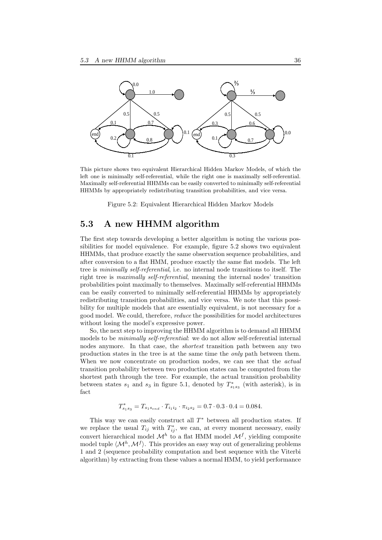

This picture shows two equivalent Hierarchical Hidden Markov Models, of which the left one is minimally self-referential, while the right one is maximally self-referential. Maximally self-referential HHMMs can be easily converted to minimally self-referential HHMMs by appropriately redistributing transition probabilities, and vice versa.

Figure 5.2: Equivalent Hierarchical Hidden Markov Models

### 5.3 A new HHMM algorithm

The first step towards developing a better algorithm is noting the various possibilities for model equivalence. For example, figure 5.2 shows two equivalent HHMMs, that produce exactly the same observation sequence probabilities, and after conversion to a flat HMM, produce exactly the same flat models. The left tree is minimally self-referential, i.e. no internal node transitions to itself. The right tree is maximally self-referential, meaning the internal nodes' transition probabilities point maximally to themselves. Maximally self-referential HHMMs can be easily converted to minimally self-referential HHMMs by appropriately redistributing transition probabilities, and vice versa. We note that this possibility for multiple models that are essentially equivalent, is not necessary for a good model. We could, therefore, reduce the possibilities for model architectures without losing the model's expressive power.

So, the next step to improving the HHMM algorithm is to demand all HHMM models to be minimally self-referential: we do not allow self-referential internal nodes anymore. In that case, the *shortest* transition path between any two production states in the tree is at the same time the only path between them. When we now concentrate on production nodes, we can see that the *actual* transition probability between two production states can be computed from the shortest path through the tree. For example, the actual transition probability between states  $s_1$  and  $s_3$  in figure 5.1, denoted by  $T^*_{s_1s_3}$  (with asterisk), is in fact

$$
T_{s_1s_3}^* = T_{s_1s_{end}} \cdot T_{i_1i_2} \cdot \pi_{i_2s_2} = 0.7 \cdot 0.3 \cdot 0.4 = 0.084.
$$

This way we can easily construct all  $T^*$  between all production states. If we replace the usual  $T_{ij}$  with  $T_{ij}^*$ , we can, at every moment necessary, easily convert hierarchical model  $\mathcal{M}^h$  to a flat HMM model  $\mathcal{M}^f$ , yielding composite model tuple  $\langle \mathcal{M}^h, \mathcal{M}^f \rangle$ . This provides an easy way out of generalizing problems 1 and 2 (sequence probability computation and best sequence with the Viterbi algorithm) by extracting from these values a normal HMM, to yield performance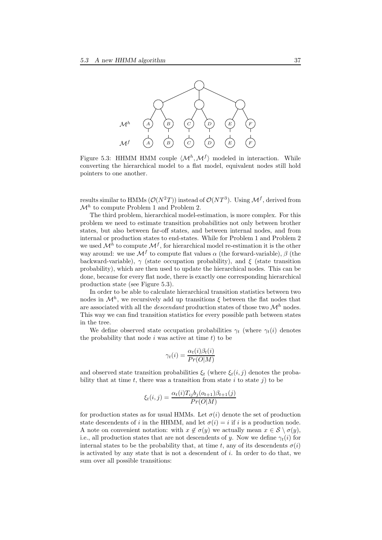

Figure 5.3: HHMM HMM couple  $\langle \mathcal{M}^h, \mathcal{M}^f \rangle$  modeled in interaction. While converting the hierarchical model to a flat model, equivalent nodes still hold pointers to one another.

results similar to HMMs  $(\mathcal{O}(N^2T))$  instead of  $\mathcal{O}(NT^3)$ . Using  $\mathcal{M}^f$ , derived from  $\mathcal{M}^h$  to compute Problem 1 and Problem 2.

The third problem, hierarchical model-estimation, is more complex. For this problem we need to estimate transition probabilities not only between brother states, but also between far-off states, and between internal nodes, and from internal or production states to end-states. While for Problem 1 and Problem 2 we used  $\mathcal{M}^h$  to compute  $\mathcal{M}^f$ , for hierarchical model re-estimation it is the other way around: we use  $\mathcal{M}^f$  to compute flat values  $\alpha$  (the forward-variable),  $\beta$  (the backward-variable),  $\gamma$  (state occupation probability), and  $\xi$  (state transition probability), which are then used to update the hierarchical nodes. This can be done, because for every flat node, there is exactly one corresponding hierarchical production state (see Figure 5.3).

In order to be able to calculate hierarchical transition statistics between two nodes in  $\mathcal{M}^h$ , we recursively add up transitions  $\xi$  between the flat nodes that are associated with all the *descendant* production states of those two  $\mathcal{M}^h$  nodes. This way we can find transition statistics for every possible path between states in the tree.

We define observed state occupation probabilities  $\gamma_t$  (where  $\gamma_t(i)$  denotes the probability that node  $i$  was active at time  $t$ ) to be

$$
\gamma_t(i) = \frac{\alpha_t(i)\beta_t(i)}{Pr(O|M)}
$$

and observed state transition probabilities  $\xi_t$  (where  $\xi_t(i,j)$  denotes the probability that at time  $t$ , there was a transition from state  $i$  to state  $j$ ) to be

$$
\xi_t(i,j) = \frac{\alpha_t(i)T_{ij}b_j(o_{t+1})\beta_{t+1}(j)}{Pr(O|M)}
$$

for production states as for usual HMMs. Let  $\sigma(i)$  denote the set of production state descendents of i in the HHMM, and let  $\sigma(i) = i$  if i is a production node. A note on convenient notation: with  $x \notin \sigma(y)$  we actually mean  $x \in \mathcal{S} \setminus \sigma(y)$ , i.e., all production states that are not descendents of y. Now we define  $\gamma_t(i)$  for internal states to be the probability that, at time t, any of its descendents  $\sigma(i)$ is activated by any state that is not a descendent of  $i$ . In order to do that, we sum over all possible transitions: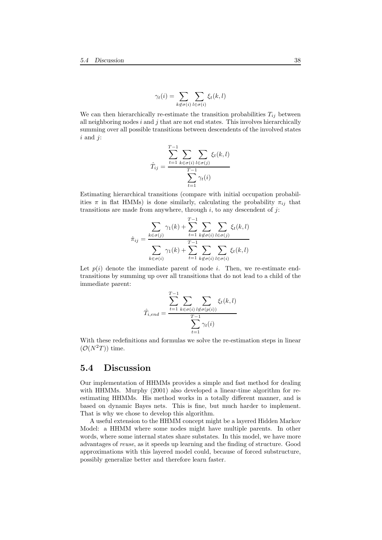$$
\gamma_t(i) = \sum_{k \notin \sigma(i)} \sum_{l \in \sigma(i)} \xi_t(k, l)
$$

We can then hierarchically re-estimate the transition probabilities  $T_{ij}$  between all neighboring nodes  $i$  and  $j$  that are not end states. This involves hierarchically summing over all possible transitions between descendents of the involved states  $i$  and  $j$ :

$$
\hat{T}_{ij} = \frac{\sum_{t=1}^{T-1} \sum_{k \in \sigma(i)} \sum_{l \in \sigma(j)} \xi_t(k, l)}{\sum_{t=1}^{T-1} \gamma_t(i)}
$$

Estimating hierarchical transitions (compare with initial occupation probabilities  $\pi$  in flat HMMs) is done similarly, calculating the probability  $\pi_{ij}$  that transitions are made from anywhere, through  $i$ , to any descendent of  $j$ :

$$
\hat{\pi}_{ij} = \frac{\sum_{k \in \sigma(j)} \gamma_1(k) + \sum_{t=1}^{T-1} \sum_{k \notin \sigma(i)} \sum_{l \in \sigma(j)} \xi_t(k, l)}{\sum_{k \in \sigma(i)} \gamma_1(k) + \sum_{t=1}^{T-1} \sum_{k \notin \sigma(i)} \sum_{l \in \sigma(i)} \xi_t(k, l)}
$$

Let  $p(i)$  denote the immediate parent of node i. Then, we re-estimate endtransitions by summing up over all transitions that do not lead to a child of the immediate parent:

$$
\hat{T}_{i,end} = \frac{\sum_{t=1}^{T-1} \sum_{k \in \sigma(i)} \sum_{l \notin \sigma(p(i))} \xi_t(k, l)}{\sum_{t=1}^{T-1} \gamma_t(i)}
$$

With these redefinitions and formulas we solve the re-estimation steps in linear  $(\mathcal{O}(N^2T))$  time.

#### 5.4 Discussion

Our implementation of HHMMs provides a simple and fast method for dealing with HHMMs. Murphy (2001) also developed a linear-time algorithm for reestimating HHMMs. His method works in a totally different manner, and is based on dynamic Bayes nets. This is fine, but much harder to implement. That is why we chose to develop this algorithm.

A useful extension to the HHMM concept might be a layered Hidden Markov Model: a HHMM where some nodes might have multiple parents. In other words, where some internal states share substates. In this model, we have more advantages of reuse, as it speeds up learning and the finding of structure. Good approximations with this layered model could, because of forced substructure, possibly generalize better and therefore learn faster.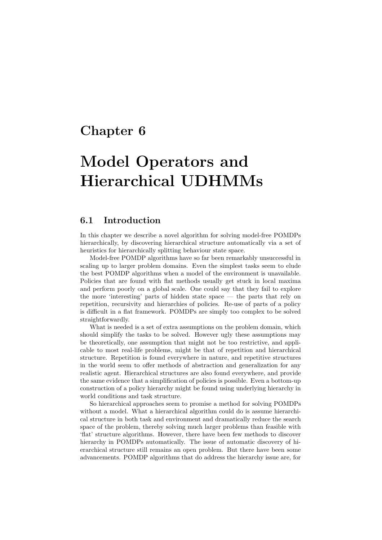## Chapter 6

# Model Operators and Hierarchical UDHMMs

#### 6.1 Introduction

In this chapter we describe a novel algorithm for solving model-free POMDPs hierarchically, by discovering hierarchical structure automatically via a set of heuristics for hierarchically splitting behaviour state space.

Model-free POMDP algorithms have so far been remarkably unsuccessful in scaling up to larger problem domains. Even the simplest tasks seem to elude the best POMDP algorithms when a model of the environment is unavailable. Policies that are found with flat methods usually get stuck in local maxima and perform poorly on a global scale. One could say that they fail to explore the more 'interesting' parts of hidden state space — the parts that rely on repetition, recursivity and hierarchies of policies. Re-use of parts of a policy is difficult in a flat framework. POMDPs are simply too complex to be solved straightforwardly.

What is needed is a set of extra assumptions on the problem domain, which should simplify the tasks to be solved. However ugly these assumptions may be theoretically, one assumption that might not be too restrictive, and applicable to most real-life problems, might be that of repetition and hierarchical structure. Repetition is found everywhere in nature, and repetitive structures in the world seem to offer methods of abstraction and generalization for any realistic agent. Hierarchical structures are also found everywhere, and provide the same evidence that a simplification of policies is possible. Even a bottom-up construction of a policy hierarchy might be found using underlying hierarchy in world conditions and task structure.

So hierarchical approaches seem to promise a method for solving POMDPs without a model. What a hierarchical algorithm could do is assume hierarchical structure in both task and environment and dramatically reduce the search space of the problem, thereby solving much larger problems than feasible with 'flat' structure algorithms. However, there have been few methods to discover hierarchy in POMDPs automatically. The issue of automatic discovery of hierarchical structure still remains an open problem. But there have been some advancements. POMDP algorithms that do address the hierarchy issue are, for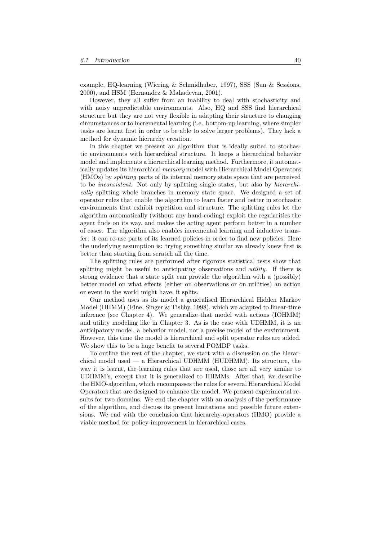example, HQ-learning (Wiering & Schmidhuber, 1997), SSS (Sun & Sessions, 2000), and HSM (Hernandez & Mahadevan, 2001).

However, they all suffer from an inability to deal with stochasticity and with noisy unpredictable environments. Also, HQ and SSS find hierarchical structure but they are not very flexible in adapting their structure to changing circumstances or to incremental learning (i.e. bottom-up learning, where simpler tasks are learnt first in order to be able to solve larger problems). They lack a method for dynamic hierarchy creation.

In this chapter we present an algorithm that is ideally suited to stochastic environments with hierarchical structure. It keeps a hierarchical behavior model and implements a hierarchical learning method. Furthermore, it automatically updates its hierarchical memory model with Hierarchical Model Operators (HMOs) by splitting parts of its internal memory state space that are perceived to be inconsistent. Not only by splitting single states, but also by hierarchically splitting whole branches in memory state space. We designed a set of operator rules that enable the algorithm to learn faster and better in stochastic environments that exhibit repetition and structure. The splitting rules let the algorithm automatically (without any hand-coding) exploit the regularities the agent finds on its way, and makes the acting agent perform better in a number of cases. The algorithm also enables incremental learning and inductive transfer: it can re-use parts of its learned policies in order to find new policies. Here the underlying assumption is: trying something similar we already knew first is better than starting from scratch all the time.

The splitting rules are performed after rigorous statistical tests show that splitting might be useful to anticipating observations and *utility*. If there is strong evidence that a state split can provide the algorithm with a (possibly) better model on what effects (either on observations or on utilities) an action or event in the world might have, it splits.

Our method uses as its model a generalised Hierarchical Hidden Markov Model (HHMM) (Fine, Singer  $&$  Tishby, 1998), which we adapted to linear-time inference (see Chapter 4). We generalize that model with actions (IOHMM) and utility modeling like in Chapter 3. As is the case with UDHMM, it is an anticipatory model, a behavior model, not a precise model of the environment. However, this time the model is hierarchical and split operator rules are added. We show this to be a huge benefit to several POMDP tasks.

To outline the rest of the chapter, we start with a discussion on the hierarchical model used  $-$  a Hierarchical UDHMM (HUDHMM). Its structure, the way it is learnt, the learning rules that are used, those are all very similar to UDHMM's, except that it is generalized to HHMMs. After that, we describe the HMO-algorithm, which encompasses the rules for several Hierarchical Model Operators that are designed to enhance the model. We present experimental results for two domains. We end the chapter with an analysis of the performance of the algorithm, and discuss its present limitations and possible future extensions. We end with the conclusion that hierarchy-operators (HMO) provide a viable method for policy-improvement in hierarchical cases.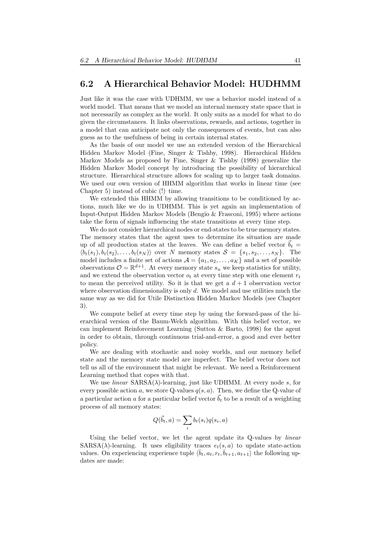#### 6.2 A Hierarchical Behavior Model: HUDHMM

Just like it was the case with UDHMM, we use a behavior model instead of a world model. That means that we model an internal memory state space that is not necessarily as complex as the world. It only suits as a model for what to do given the circumstances. It links observations, rewards, and actions, together in a model that can anticipate not only the consequences of events, but can also guess as to the usefulness of being in certain internal states.

As the basis of our model we use an extended version of the Hierarchical Hidden Markov Model (Fine, Singer & Tishby, 1998). Hierarchical Hidden Markov Models as proposed by Fine, Singer & Tishby (1998) generalize the Hidden Markov Model concept by introducing the possibility of hierarchical structure. Hierarchical structure allows for scaling up to larger task domains. We used our own version of HHMM algorithm that works in linear time (see Chapter 5) instead of cubic (!) time.

We extended this HHMM by allowing transitions to be conditioned by actions, much like we do in UDHMM. This is yet again an implementation of Input-Output Hidden Markov Models (Bengio & Frasconi, 1995) where actions take the form of signals influencing the state transitions at every time step.

We do not consider hierarchical nodes or end-states to be true memory states. The memory states that the agent uses to determine its situation are made up of all production states at the leaves. We can define a belief vector  $\vec{b}_t =$  $\langle b_t(s_1), b_t(s_2), \ldots, b_t(s_N) \rangle$  over N memory states  $S = \{s_1, s_2, \ldots, s_N\}$ . The model includes a finite set of actions  $\mathcal{A} = \{a_1, a_2, \ldots, a_K\}$  and a set of possible observations  $\mathcal{O} = \mathbb{R}^{d+1}$ . At every memory state  $s_n$  we keep statistics for utility, and we extend the observation vector  $o_t$  at every time step with one element  $r_t$ to mean the perceived utility. So it is that we get a  $d+1$  observation vector where observation dimensionality is only  $d$ . We model and use utilities much the same way as we did for Utile Distinction Hidden Markov Models (see Chapter 3).

We compute belief at every time step by using the forward-pass of the hierarchical version of the Baum-Welch algorithm. With this belief vector, we can implement Reinforcement Learning (Sutton & Barto, 1998) for the agent in order to obtain, through continuous trial-and-error, a good and ever better policy.

We are dealing with stochastic and noisy worlds, and our memory belief state and the memory state model are imperfect. The belief vector does not tell us all of the environment that might be relevant. We need a Reinforcement Learning method that copes with that.

We use *linear*  $SARSA(\lambda)$ -learning, just like UDHMM. At every node s, for every possible action a, we store Q-values  $q(s, a)$ . Then, we define the Q-value of a particular action a for a particular belief vector  $\vec{b}_t$  to be a result of a weighting process of all memory states:

$$
Q(\vec{b}_t, a) = \sum_i b_t(s_i) q(s_i, a)
$$

Using the belief vector, we let the agent update its Q-values by linear  $SARSA(\lambda)$ -learning. It uses eligibility traces  $e_t(s, a)$  to update state-action values. On experiencing experience tuple  $\langle \bar{b}_t, a_t, r_t, \bar{b}_{t+1}, a_{t+1} \rangle$  the following updates are made: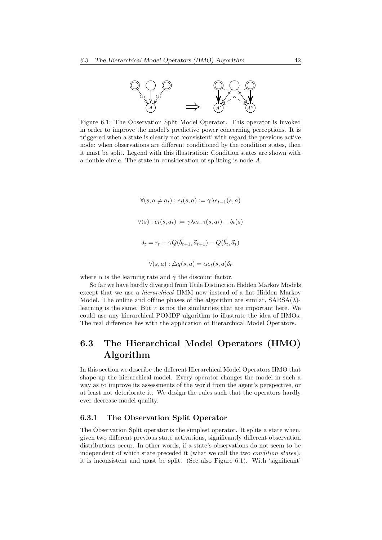

Figure 6.1: The Observation Split Model Operator. This operator is invoked in order to improve the model's predictive power concerning perceptions. It is triggered when a state is clearly not 'consistent' with regard the previous active node: when observations are different conditioned by the condition states, then it must be split. Legend with this illustration: Condition states are shown with a double circle. The state in consideration of splitting is node A.

$$
\forall (s, a \neq a_t) : e_t(s, a) := \gamma \lambda e_{t-1}(s, a)
$$

$$
\forall (s) : e_t(s, a_t) := \gamma \lambda e_{t-1}(s, a_t) + b_t(s)
$$

$$
\delta_t = r_t + \gamma Q(\vec{b}_{t+1}, \vec{a}_{t+1}) - Q(\vec{b}_t, \vec{a}_t)
$$

$$
\forall (s, a) : \Delta q(s, a) = \alpha e_t(s, a)\delta_t
$$

where  $\alpha$  is the learning rate and  $\gamma$  the discount factor.

So far we have hardly diverged from Utile Distinction Hidden Markov Models except that we use a *hierarchical* HMM now instead of a flat Hidden Markov Model. The online and offline phases of the algorithm are similar,  $SARSA(\lambda)$ learning is the same. But it is not the similarities that are important here. We could use any hierarchical POMDP algorithm to illustrate the idea of HMOs. The real difference lies with the application of Hierarchical Model Operators.

### 6.3 The Hierarchical Model Operators (HMO) Algorithm

In this section we describe the different Hierarchical Model Operators HMO that shape up the hierarchical model. Every operator changes the model in such a way as to improve its assessments of the world from the agent's perspective, or at least not deteriorate it. We design the rules such that the operators hardly ever decrease model quality.

#### 6.3.1 The Observation Split Operator

The Observation Split operator is the simplest operator. It splits a state when, given two different previous state activations, significantly different observation distributions occur. In other words, if a state's observations do not seem to be independent of which state preceded it (what we call the two condition states), it is inconsistent and must be split. (See also Figure 6.1). With 'significant'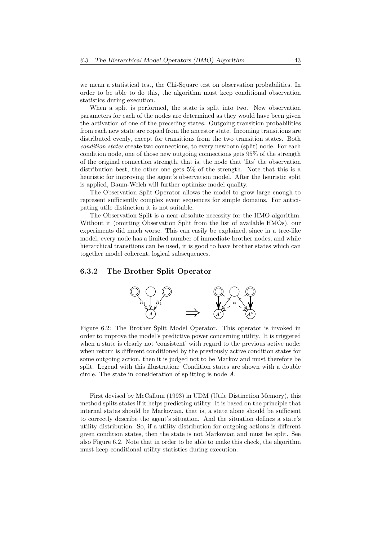we mean a statistical test, the Chi-Square test on observation probabilities. In order to be able to do this, the algorithm must keep conditional observation statistics during execution.

When a split is performed, the state is split into two. New observation parameters for each of the nodes are determined as they would have been given the activation of one of the preceding states. Outgoing transition probabilities from each new state are copied from the ancestor state. Incoming transitions are distributed evenly, except for transitions from the two transition states. Both condition states create two connections, to every newborn (split) node. For each condition node, one of those new outgoing connections gets 95% of the strength of the original connection strength, that is, the node that 'fits' the observation distribution best, the other one gets 5% of the strength. Note that this is a heuristic for improving the agent's observation model. After the heuristic split is applied, Baum-Welch will further optimize model quality.

The Observation Split Operator allows the model to grow large enough to represent sufficiently complex event sequences for simple domains. For anticipating utile distinction it is not suitable.

The Observation Split is a near-absolute necessity for the HMO-algorithm. Without it (omitting Observation Split from the list of available HMOs), our experiments did much worse. This can easily be explained, since in a tree-like model, every node has a limited number of immediate brother nodes, and while hierarchical transitions can be used, it is good to have brother states which can together model coherent, logical subsequences.

#### 6.3.2 The Brother Split Operator



Figure 6.2: The Brother Split Model Operator. This operator is invoked in order to improve the model's predictive power concerning utility. It is triggered when a state is clearly not 'consistent' with regard to the previous active node: when return is different conditioned by the previously active condition states for some outgoing action, then it is judged not to be Markov and must therefore be split. Legend with this illustration: Condition states are shown with a double circle. The state in consideration of splitting is node A.

First devised by McCallum (1993) in UDM (Utile Distinction Memory), this method splits states if it helps predicting utility. It is based on the principle that internal states should be Markovian, that is, a state alone should be sufficient to correctly describe the agent's situation. And the situation defines a state's utility distribution. So, if a utility distribution for outgoing actions is different given condition states, then the state is not Markovian and must be split. See also Figure 6.2. Note that in order to be able to make this check, the algorithm must keep conditional utility statistics during execution.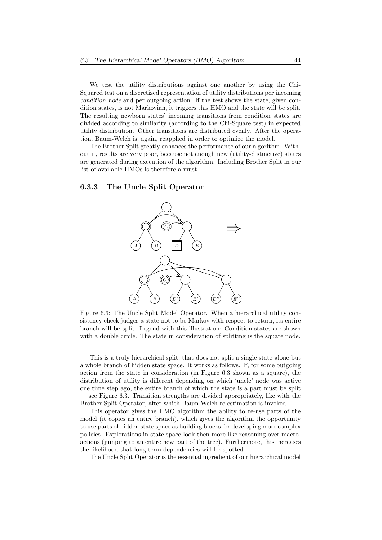We test the utility distributions against one another by using the Chi-Squared test on a discretized representation of utility distributions per incoming condition node and per outgoing action. If the test shows the state, given condition states, is not Markovian, it triggers this HMO and the state will be split. The resulting newborn states' incoming transitions from condition states are divided according to similarity (according to the Chi-Square test) in expected utility distribution. Other transitions are distributed evenly. After the operation, Baum-Welch is, again, reapplied in order to optimize the model.

The Brother Split greatly enhances the performance of our algorithm. Without it, results are very poor, because not enough new (utility-distinctive) states are generated during execution of the algorithm. Including Brother Split in our list of available HMOs is therefore a must.

#### 6.3.3 The Uncle Split Operator



Figure 6.3: The Uncle Split Model Operator. When a hierarchical utility consistency check judges a state not to be Markov with respect to return, its entire branch will be split. Legend with this illustration: Condition states are shown with a double circle. The state in consideration of splitting is the square node.

This is a truly hierarchical split, that does not split a single state alone but a whole branch of hidden state space. It works as follows. If, for some outgoing action from the state in consideration (in Figure 6.3 shown as a square), the distribution of utility is different depending on which 'uncle' node was active one time step ago, the entire branch of which the state is a part must be split — see Figure 6.3. Transition strengths are divided appropriately, like with the Brother Split Operator, after which Baum-Welch re-estimation is invoked.

This operator gives the HMO algorithm the ability to re-use parts of the model (it copies an entire branch), which gives the algorithm the opportunity to use parts of hidden state space as building blocks for developing more complex policies. Explorations in state space look then more like reasoning over macroactions (jumping to an entire new part of the tree). Furthermore, this increases the likelihood that long-term dependencies will be spotted.

The Uncle Split Operator is the essential ingredient of our hierarchical model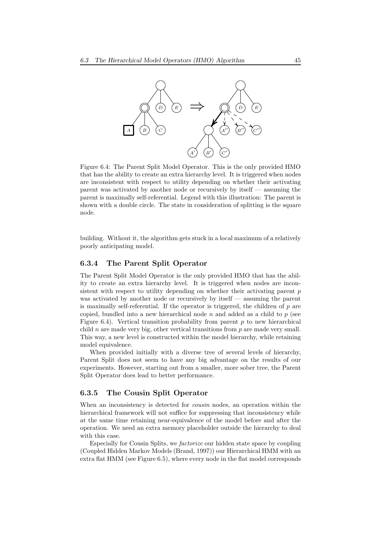

Figure 6.4: The Parent Split Model Operator. This is the only provided HMO that has the ability to create an extra hierarchy level. It is triggered when nodes are inconsistent with respect to utility depending on whether their activating parent was activated by another node or recursively by itself — assuming the parent is maximally self-referential. Legend with this illustration: The parent is shown with a double circle. The state in consideration of splitting is the square node.

building. Without it, the algorithm gets stuck in a local maximum of a relatively poorly anticipating model.

#### 6.3.4 The Parent Split Operator

The Parent Split Model Operator is the only provided HMO that has the ability to create an extra hierarchy level. It is triggered when nodes are inconsistent with respect to utility depending on whether their activating parent p was activated by another node or recursively by itself — assuming the parent is maximally self-referential. If the operator is triggered, the children of  $p$  are copied, bundled into a new hierarchical node  $n$  and added as a child to  $p$  (see Figure 6.4). Vertical transition probability from parent  $p$  to new hierarchical child n are made very big, other vertical transitions from  $p$  are made very small. This way, a new level is constructed within the model hierarchy, while retaining model equivalence.

When provided initially with a diverse tree of several levels of hierarchy, Parent Split does not seem to have any big advantage on the results of our experiments. However, starting out from a smaller, more sober tree, the Parent Split Operator does lead to better performance.

#### 6.3.5 The Cousin Split Operator

When an inconsistency is detected for *cousin* nodes, an operation within the hierarchical framework will not suffice for suppressing that inconsistency while at the same time retaining near-equivalence of the model before and after the operation. We need an extra memory placeholder outside the hierarchy to deal with this case.

Especially for Cousin Splits, we factorize our hidden state space by coupling (Coupled Hidden Markov Models (Brand, 1997)) our Hierarchical HMM with an extra flat HMM (see Figure 6.5), where every node in the flat model corresponds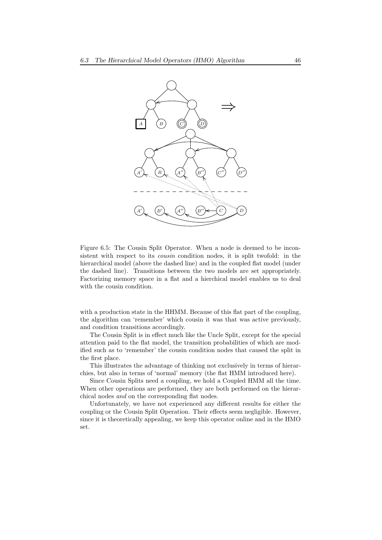

Figure 6.5: The Cousin Split Operator. When a node is deemed to be inconsistent with respect to its cousin condition nodes, it is split twofold: in the hierarchical model (above the dashed line) and in the coupled flat model (under the dashed line). Transitions between the two models are set appropriately. Factorizing memory space in a flat and a hierchical model enables us to deal with the cousin condition.

with a production state in the HHMM. Because of this flat part of the coupling, the algorithm can 'remember' which cousin it was that was active previously, and condition transitions accordingly.

The Cousin Split is in effect much like the Uncle Split, except for the special attention paid to the flat model, the transition probabilities of which are modified such as to 'remember' the cousin condition nodes that caused the split in the first place.

This illustrates the advantage of thinking not exclusively in terms of hierarchies, but also in terms of 'normal' memory (the flat HMM introduced here).

Since Cousin Splits need a coupling, we hold a Coupled HMM all the time. When other operations are performed, they are both performed on the hierarchical nodes and on the corresponding flat nodes.

Unfortunately, we have not experienced any different results for either the coupling or the Cousin Split Operation. Their effects seem negligible. However, since it is theoretically appealing, we keep this operator online and in the HMO set.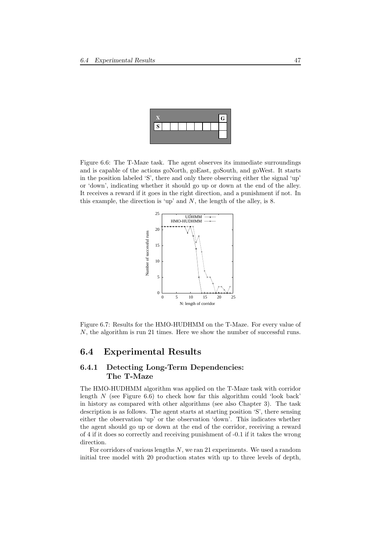

Figure 6.6: The T-Maze task. The agent observes its immediate surroundings and is capable of the actions goNorth, goEast, goSouth, and goWest. It starts in the position labeled 'S', there and only there observing either the signal 'up' or 'down', indicating whether it should go up or down at the end of the alley. It receives a reward if it goes in the right direction, and a punishment if not. In this example, the direction is 'up' and  $N$ , the length of the alley, is 8.



Figure 6.7: Results for the HMO-HUDHMM on the T-Maze. For every value of N, the algorithm is run 21 times. Here we show the number of successful runs.

#### 6.4 Experimental Results

#### 6.4.1 Detecting Long-Term Dependencies: The T-Maze

The HMO-HUDHMM algorithm was applied on the T-Maze task with corridor length  $N$  (see Figure 6.6) to check how far this algorithm could 'look back' in history as compared with other algorithms (see also Chapter 3). The task description is as follows. The agent starts at starting position 'S', there sensing either the observation 'up' or the observation 'down'. This indicates whether the agent should go up or down at the end of the corridor, receiving a reward of 4 if it does so correctly and receiving punishment of -0.1 if it takes the wrong direction.

For corridors of various lengths  $N$ , we ran 21 experiments. We used a random initial tree model with 20 production states with up to three levels of depth,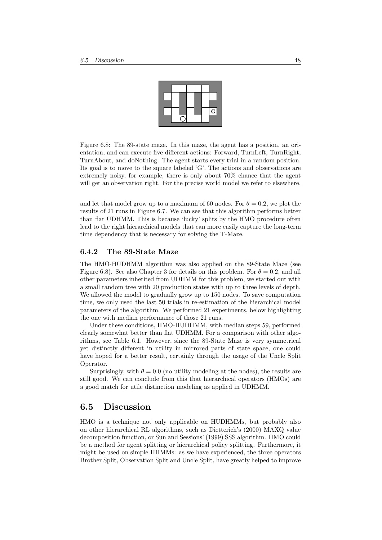|  |  |  | Ġ |
|--|--|--|---|
|  |  |  |   |

Figure 6.8: The 89-state maze. In this maze, the agent has a position, an orientation, and can execute five different actions: Forward, TurnLeft, TurnRight, TurnAbout, and doNothing. The agent starts every trial in a random position. Its goal is to move to the square labeled 'G'. The actions and observations are extremely noisy, for example, there is only about 70% chance that the agent will get an observation right. For the precise world model we refer to elsewhere.

and let that model grow up to a maximum of 60 nodes. For  $\theta = 0.2$ , we plot the results of 21 runs in Figure 6.7. We can see that this algorithm performs better than flat UDHMM. This is because 'lucky' splits by the HMO procedure often lead to the right hierarchical models that can more easily capture the long-term time dependency that is necessary for solving the T-Maze.

#### 6.4.2 The 89-State Maze

The HMO-HUDHMM algorithm was also applied on the 89-State Maze (see Figure 6.8). See also Chapter 3 for details on this problem. For  $\theta = 0.2$ , and all other parameters inherited from UDHMM for this problem, we started out with a small random tree with 20 production states with up to three levels of depth. We allowed the model to gradually grow up to 150 nodes. To save computation time, we only used the last 50 trials in re-estimation of the hierarchical model parameters of the algorithm. We performed 21 experiments, below highlighting the one with median performance of those 21 runs.

Under these conditions, HMO-HUDHMM, with median steps 59, performed clearly somewhat better than flat UDHMM. For a comparison with other algorithms, see Table 6.1. However, since the 89-State Maze is very symmetrical yet distinctly different in utility in mirrored parts of state space, one could have hoped for a better result, certainly through the usage of the Uncle Split Operator.

Surprisingly, with  $\theta = 0.0$  (no utility modeling at the nodes), the results are still good. We can conclude from this that hierarchical operators (HMOs) are a good match for utile distinction modeling as applied in UDHMM.

#### 6.5 Discussion

HMO is a technique not only applicable on HUDHMMs, but probably also on other hierarchical RL algorithms, such as Dietterich's (2000) MAXQ value decomposition function, or Sun and Sessions' (1999) SSS algorithm. HMO could be a method for agent splitting or hierarchical policy splitting. Furthermore, it might be used on simple HHMMs: as we have experienced, the three operators Brother Split, Observation Split and Uncle Split, have greatly helped to improve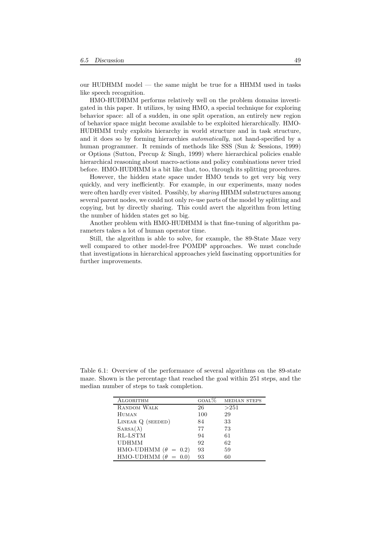our HUDHMM model — the same might be true for a HHMM used in tasks like speech recognition.

HMO-HUDHMM performs relatively well on the problem domains investigated in this paper. It utilizes, by using HMO, a special technique for exploring behavior space: all of a sudden, in one split operation, an entirely new region of behavior space might become available to be exploited hierarchically. HMO-HUDHMM truly exploits hierarchy in world structure and in task structure, and it does so by forming hierarchies automatically, not hand-specified by a human programmer. It reminds of methods like SSS (Sun & Sessions, 1999) or Options (Sutton, Precup & Singh, 1999) where hierarchical policies enable hierarchical reasoning about macro-actions and policy combinations never tried before. HMO-HUDHMM is a bit like that, too, through its splitting procedures.

However, the hidden state space under HMO tends to get very big very quickly, and very inefficiently. For example, in our experiments, many nodes were often hardly ever visited. Possibly, by *sharing* HHMM substructures among several parent nodes, we could not only re-use parts of the model by splitting and copying, but by directly sharing. This could avert the algorithm from letting the number of hidden states get so big.

Another problem with HMO-HUDHMM is that fine-tuning of algorithm parameters takes a lot of human operator time.

Still, the algorithm is able to solve, for example, the 89-State Maze very well compared to other model-free POMDP approaches. We must conclude that investigations in hierarchical approaches yield fascinating opportunities for further improvements.

maze. Shown is the percentage that reached the goal within 251 steps, and the median number of steps to task completion.

Table 6.1: Overview of the performance of several algorithms on the 89-state

| ALGORITHM                  | GOAL% | <b>MEDIAN STEPS</b> |
|----------------------------|-------|---------------------|
| <b>RANDOM WALK</b>         | 26    | >251                |
| HUMAN                      | 100   | 29                  |
| LINEAR Q (SEEDED)          | 84    | 33                  |
| $SARSA(\lambda)$           | 77    | 73                  |
| RL-LSTM                    | 94    | 61                  |
| UDHMM                      | 92    | 62                  |
| HMO-UDHMM $(\theta = 0.2)$ | 93    | 59                  |
| HMO-UDHMM $(\theta = 0.0)$ | 93    | 60                  |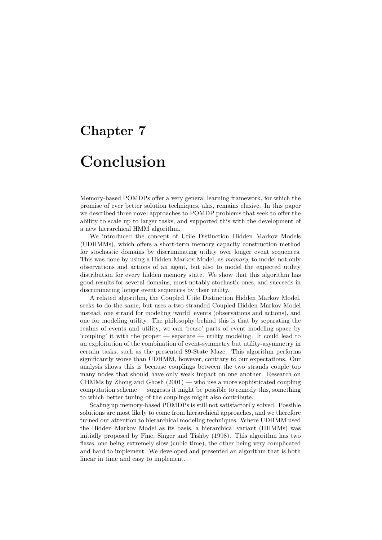# Chapter 7 Conclusion

Memory-based POMDPs offer a very general learning framework, for which the promise of ever better solution techniques, alas, remains elusive. In this paper we described three novel approaches to POMDP problems that seek to offer the ability to scale up to larger tasks, and supported this with the development of a new hierarchical HMM algorithm.

We introduced the concept of Utile Distinction Hidden Markov Models (UDHMMs), which offers a short-term memory capacity construction method for stochastic domains by discriminating utility over longer event sequences. This was done by using a Hidden Markov Model, as memory, to model not only observations and actions of an agent, but also to model the expected utility distribution for every hidden memory state. We show that this algorithm has good results for several domains, most notably stochastic ones, and succeeds in discriminating longer event sequences by their utility.

A related algorithm, the Coupled Utile Distinction Hidden Markov Model, seeks to do the same, but uses a two-stranded Coupled Hidden Markov Model instead, one strand for modeling 'world' events (observations and actions), and one for modeling utility. The philosophy behind this is that by separating the realms of events and utility, we can 'reuse' parts of event modeling space by 'coupling' it with the proper — separate — utility modeling. It could lead to an exploitation of the combination of event-symmetry but utility-asymmetry in certain tasks, such as the presented 89-State Maze. This algorithm performs significantly worse than UDHMM, however, contrary to our expectations. Our analysis shows this is because couplings between the two strands couple too many nodes that should have only weak impact on one another. Research on CHMMs by Zhong and Ghosh (2001) — who use a more sophisticated coupling computation scheme — suggests it might be possible to remedy this, something to which better tuning of the couplings might also contribute.

Scaling up memory-based POMDPs is still not satisfactorily solved. Possible solutions are most likely to come from hierarchical approaches, and we therefore turned our attention to hierarchical modeling techniques. Where UDHMM used the Hidden Markov Model as its basis, a hierarchical variant (HHMMs) was initially proposed by Fine, Singer and Tishby (1998). This algorithm has two flaws, one being extremely slow (cubic time), the other being very complicated and hard to implement. We developed and presented an algorithm that is both linear in time and easy to implement.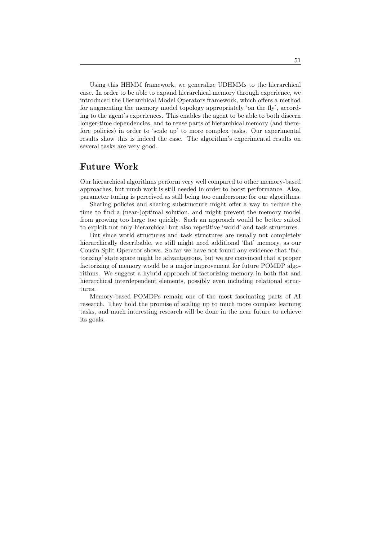Using this HHMM framework, we generalize UDHMMs to the hierarchical case. In order to be able to expand hierarchical memory through experience, we introduced the Hierarchical Model Operators framework, which offers a method for augmenting the memory model topology appropriately 'on the fly', according to the agent's experiences. This enables the agent to be able to both discern longer-time dependencies, and to reuse parts of hierarchical memory (and therefore policies) in order to 'scale up' to more complex tasks. Our experimental results show this is indeed the case. The algorithm's experimental results on several tasks are very good.

#### Future Work

Our hierarchical algorithms perform very well compared to other memory-based approaches, but much work is still needed in order to boost performance. Also, parameter tuning is perceived as still being too cumbersome for our algorithms.

Sharing policies and sharing substructure might offer a way to reduce the time to find a (near-)optimal solution, and might prevent the memory model from growing too large too quickly. Such an approach would be better suited to exploit not only hierarchical but also repetitive 'world' and task structures.

But since world structures and task structures are usually not completely hierarchically describable, we still might need additional 'flat' memory, as our Cousin Split Operator shows. So far we have not found any evidence that 'factorizing' state space might be advantageous, but we are convinced that a proper factorizing of memory would be a major improvement for future POMDP algorithms. We suggest a hybrid approach of factorizing memory in both flat and hierarchical interdependent elements, possibly even including relational structures.

Memory-based POMDPs remain one of the most fascinating parts of AI research. They hold the promise of scaling up to much more complex learning tasks, and much interesting research will be done in the near future to achieve its goals.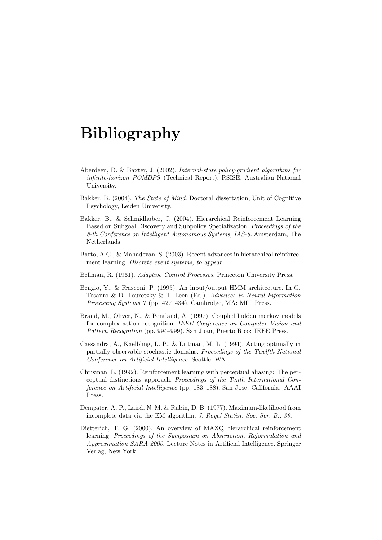# Bibliography

- Aberdeen, D. & Baxter, J. (2002). Internal-state policy-gradient algorithms for infinite-horizon POMDPS (Technical Report). RSISE, Australian National University.
- Bakker, B. (2004). The State of Mind. Doctoral dissertation, Unit of Cognitive Psychology, Leiden University.
- Bakker, B., & Schmidhuber, J. (2004). Hierarchical Reinforcement Learning Based on Subgoal Discovery and Subpolicy Specialization. Proceedings of the 8-th Conference on Intelligent Autonomous Systems, IAS-8. Amsterdam, The Netherlands
- Barto, A.G., & Mahadevan, S. (2003). Recent advances in hierarchical reinforcement learning. Discrete event systems, to appear
- Bellman, R. (1961). Adaptive Control Processes. Princeton University Press.
- Bengio, Y., & Frasconi, P. (1995). An input/output HMM architecture. In G. Tesauro & D. Touretzky & T. Leen (Ed.), Advances in Neural Information Processing Systems 7 (pp. 427–434). Cambridge, MA: MIT Press.
- Brand, M., Oliver, N., & Pentland, A. (1997). Coupled hidden markov models for complex action recognition. IEEE Conference on Computer Vision and Pattern Recognition (pp. 994–999). San Juan, Puerto Rico: IEEE Press.
- Cassandra, A., Kaelbling, L. P., & Littman, M. L. (1994). Acting optimally in partially observable stochastic domains. Proceedings of the Twelfth National Conference on Artificial Intelligence. Seattle, WA.
- Chrisman, L. (1992). Reinforcement learning with perceptual aliasing: The perceptual distinctions approach. Proceedings of the Tenth International Conference on Artificial Intelligence (pp. 183–188). San Jose, California: AAAI Press.
- Dempster, A. P., Laird, N. M. & Rubin, D. B. (1977). Maximum-likelihood from incomplete data via the EM algorithm. J. Royal Statist. Soc. Ser. B., 39.
- Dietterich, T. G. (2000). An overview of MAXQ hierarchical reinforcement learning. Proceedings of the Symposium on Abstraction, Reformulation and Approximation SARA 2000, Lecture Notes in Artificial Intelligence. Springer Verlag, New York.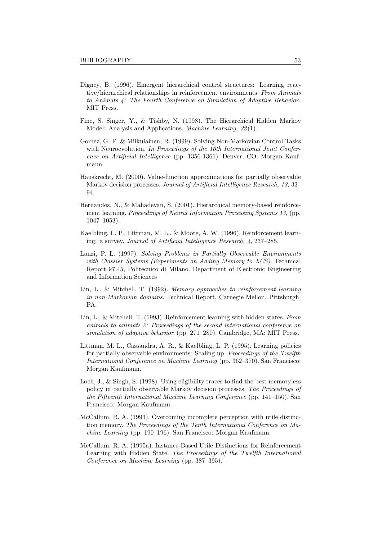- Digney, B. (1996). Emergent hierarchical control structures: Learning reactive/hierarchical relationships in reinforcement environments. From Animals to Animats 4: The Fourth Conference on Simulation of Adaptive Behavior. MIT Press.
- Fine, S. Singer, Y., & Tishby, N. (1998). The Hierarchical Hidden Markov Model: Analysis and Applications. Machine Learning, 32(1).
- Gomez, G. F. & Miikulainen, R. (1999). Solving Non-Markovian Control Tasks with Neuroevolution. In Proceedings of the 16th International Joint Conference on Artificial Intelligence (pp. 1356-1361). Denver, CO: Morgan Kaufmann.
- Hauskrecht, M. (2000). Value-function approximations for partially observable Markov decision processes. Journal of Artificial Intelligence Research, 13, 33– 94.
- Hernandez, N., & Mahadevan, S. (2001). Hierarchical memory-based reinforcement learning. Proceedings of Neural Information Processing Systems 13, (pp. 1047–1053).
- Kaelbling, L. P., Littman, M. L., & Moore, A. W. (1996). Reinforcement learning: a survey. Journal of Artificial Intelligence Research, 4, 237–285.
- Lanzi, P. L. (1997). Solving Problems in Partially Observable Environments with Classier Systems (Experiments on Adding Memory to XCS). Technical Report 97.45, Politecnico di Milano. Department of Electronic Engineering and Information Sciences
- Lin, L., & Mitchell, T. (1992). Memory approaches to reinforcement learning in non-Markovian domains. Technical Report, Carnegie Mellon, Pittsburgh, PA.
- Lin, L., & Mitchell, T. (1993). Reinforcement learning with hidden states. From animals to animats 2: Proceedings of the second international conference on simulation of adaptive behavior (pp. 271–280). Cambridge, MA: MIT Press.
- Littman, M. L., Cassandra, A. R., & Kaelbling, L. P. (1995). Learning policies for partially observable environments: Scaling up. Proceedings of the Twelfth International Conference on Machine Learning (pp. 362–370). San Francisco: Morgan Kaufmann.
- Loch, J., & Singh, S. (1998). Using eligibility traces to find the best memoryless policy in partially observable Markov decision processes. The Proceedings of the Fifteenth International Machine Learning Conference (pp. 141–150). San Francisco: Morgan Kaufmann.
- McCallum, R. A. (1993). Overcoming incomplete perception with utile distinction memory. The Proceedings of the Tenth International Conference on Machine Learning (pp. 190–196). San Francisco: Morgan Kaufmann.
- McCallum, R. A. (1995a). Instance-Based Utile Distinctions for Reinforcement Learning with Hidden State. The Proceedings of the Twelfth International Conference on Machine Learning (pp. 387–395).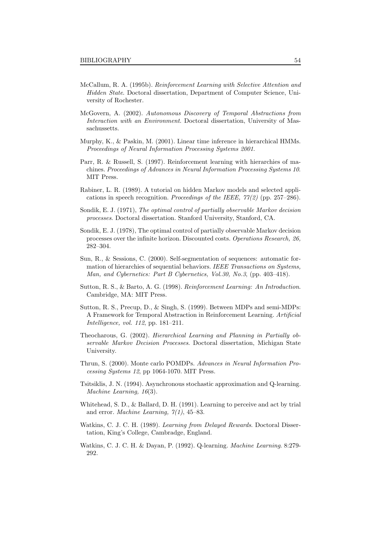- McCallum, R. A. (1995b). Reinforcement Learning with Selective Attention and Hidden State. Doctoral dissertation, Department of Computer Science, University of Rochester.
- McGovern, A. (2002). Autonomous Discovery of Temporal Abstractions from Interaction with an Environment. Doctoral dissertation, University of Massachussetts.
- Murphy, K., & Paskin, M. (2001). Linear time inference in hierarchical HMMs. Proceedings of Neural Information Processing Systems 2001.
- Parr, R. & Russell, S. (1997). Reinforcement learning with hierarchies of machines. Proceedings of Advances in Neural Information Processing Systems 10. MIT Press.
- Rabiner, L. R. (1989). A tutorial on hidden Markov models and selected applications in speech recognition. Proceedings of the IEEE,  $77(2)$  (pp. 257–286).
- Sondik, E. J. (1971), The optimal control of partially observable Markov decision processes. Doctoral dissertation. Stanford University, Stanford, CA.
- Sondik, E. J. (1978), The optimal control of partially observable Markov decision processes over the infinite horizon. Discounted costs. Operations Research, 26, 282–304.
- Sun, R., & Sessions, C. (2000). Self-segmentation of sequences: automatic formation of hierarchies of sequential behaviors. IEEE Transactions on Systems, Man, and Cybernetics: Part B Cybernetics, Vol.30, No.3, (pp. 403–418).
- Sutton, R. S., & Barto, A. G. (1998). Reinforcement Learning: An Introduction. Cambridge, MA: MIT Press.
- Sutton, R. S., Precup, D., & Singh, S. (1999). Between MDPs and semi-MDPs: A Framework for Temporal Abstraction in Reinforcement Learning. Artificial Intelligence, vol. 112, pp. 181–211.
- Theocharous, G. (2002). Hierarchical Learning and Planning in Partially observable Markov Decision Processes. Doctoral dissertation, Michigan State University.
- Thrun, S. (2000). Monte carlo POMDPs. Advances in Neural Information Processing Systems 12, pp 1064-1070. MIT Press.
- Tsitsiklis, J. N. (1994). Asynchronous stochastic approximation and Q-learning. Machine Learning, 16(3).
- Whitehead, S. D., & Ballard, D. H. (1991). Learning to perceive and act by trial and error. *Machine Learning*,  $7(1)$ , 45–83.
- Watkins, C. J. C. H. (1989). Learning from Delayed Rewards. Doctoral Dissertation, King's College, Cambradge, England.
- Watkins, C. J. C. H. & Dayan, P. (1992). Q-learning. Machine Learning. 8:279- 292.